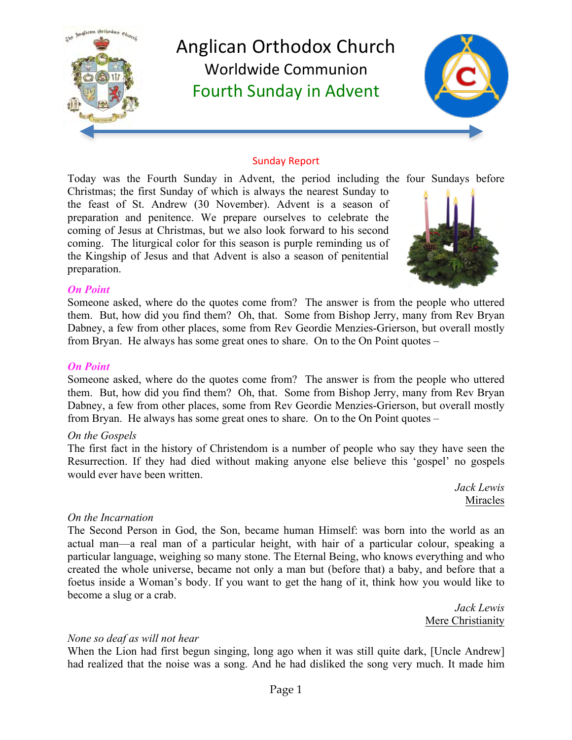

#### Sunday Report

Today was the Fourth Sunday in Advent, the period including the four Sundays before

Christmas; the first Sunday of which is always the nearest Sunday to the feast of St. Andrew (30 November). Advent is a season of preparation and penitence. We prepare ourselves to celebrate the coming of Jesus at Christmas, but we also look forward to his second coming. The liturgical color for this season is purple reminding us of the Kingship of Jesus and that Advent is also a season of penitential preparation.



#### *On Point*

Someone asked, where do the quotes come from? The answer is from the people who uttered them. But, how did you find them? Oh, that. Some from Bishop Jerry, many from Rev Bryan Dabney, a few from other places, some from Rev Geordie Menzies-Grierson, but overall mostly from Bryan. He always has some great ones to share. On to the On Point quotes –

#### *On Point*

Someone asked, where do the quotes come from? The answer is from the people who uttered them. But, how did you find them? Oh, that. Some from Bishop Jerry, many from Rev Bryan Dabney, a few from other places, some from Rev Geordie Menzies-Grierson, but overall mostly from Bryan. He always has some great ones to share. On to the On Point quotes –

#### *On the Gospels*

The first fact in the history of Christendom is a number of people who say they have seen the Resurrection. If they had died without making anyone else believe this 'gospel' no gospels would ever have been written.

> *Jack Lewis* Miracles

#### *On the Incarnation*

The Second Person in God, the Son, became human Himself: was born into the world as an actual man—a real man of a particular height, with hair of a particular colour, speaking a particular language, weighing so many stone. The Eternal Being, who knows everything and who created the whole universe, became not only a man but (before that) a baby, and before that a foetus inside a Woman's body. If you want to get the hang of it, think how you would like to become a slug or a crab.

> *Jack Lewis* Mere Christianity

#### *None so deaf as will not hear*

When the Lion had first begun singing, long ago when it was still quite dark, [Uncle Andrew] had realized that the noise was a song. And he had disliked the song very much. It made him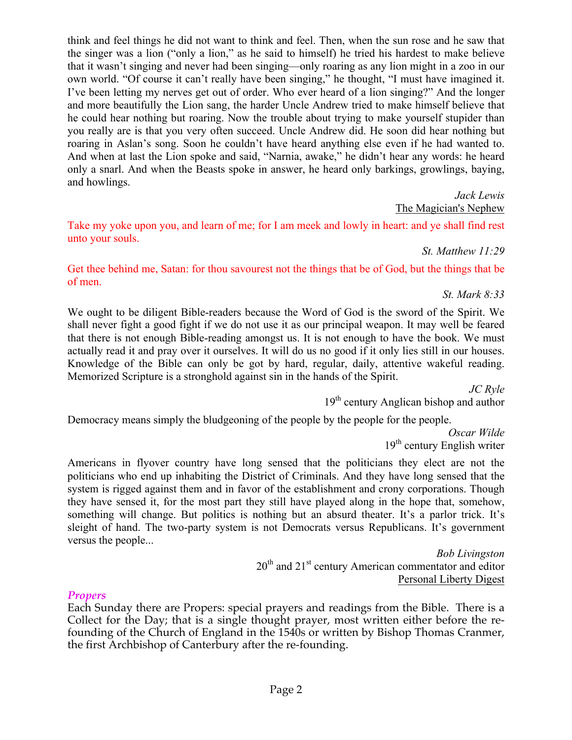Page 2

think and feel things he did not want to think and feel. Then, when the sun rose and he saw that the singer was a lion ("only a lion," as he said to himself) he tried his hardest to make believe that it wasn't singing and never had been singing—only roaring as any lion might in a zoo in our own world. "Of course it can't really have been singing," he thought, "I must have imagined it. I've been letting my nerves get out of order. Who ever heard of a lion singing?" And the longer and more beautifully the Lion sang, the harder Uncle Andrew tried to make himself believe that he could hear nothing but roaring. Now the trouble about trying to make yourself stupider than you really are is that you very often succeed. Uncle Andrew did. He soon did hear nothing but roaring in Aslan's song. Soon he couldn't have heard anything else even if he had wanted to. And when at last the Lion spoke and said, "Narnia, awake," he didn't hear any words: he heard only a snarl. And when the Beasts spoke in answer, he heard only barkings, growlings, baying, and howlings.

*Jack Lewis* The Magician's Nephew

Take my yoke upon you, and learn of me; for I am meek and lowly in heart: and ye shall find rest unto your souls.

*St. Matthew 11:29*

Get thee behind me, Satan: for thou savourest not the things that be of God, but the things that be of men.

*St. Mark 8:33*

We ought to be diligent Bible-readers because the Word of God is the sword of the Spirit. We shall never fight a good fight if we do not use it as our principal weapon. It may well be feared that there is not enough Bible-reading amongst us. It is not enough to have the book. We must actually read it and pray over it ourselves. It will do us no good if it only lies still in our houses. Knowledge of the Bible can only be got by hard, regular, daily, attentive wakeful reading. Memorized Scripture is a stronghold against sin in the hands of the Spirit.

*JC Ryle*

19<sup>th</sup> century Anglican bishop and author

Democracy means simply the bludgeoning of the people by the people for the people.

*Oscar Wilde* 19<sup>th</sup> century English writer

Americans in flyover country have long sensed that the politicians they elect are not the politicians who end up inhabiting the District of Criminals. And they have long sensed that the system is rigged against them and in favor of the establishment and crony corporations. Though they have sensed it, for the most part they still have played along in the hope that, somehow, something will change. But politics is nothing but an absurd theater. It's a parlor trick. It's sleight of hand. The two-party system is not Democrats versus Republicans. It's government versus the people...

> *Bob Livingston* 20<sup>th</sup> and 21<sup>st</sup> century American commentator and editor Personal Liberty Digest

#### *Propers*

Each Sunday there are Propers: special prayers and readings from the Bible. There is a Collect for the Day; that is a single thought prayer, most written either before the refounding of the Church of England in the 1540s or written by Bishop Thomas Cranmer, the first Archbishop of Canterbury after the re-founding.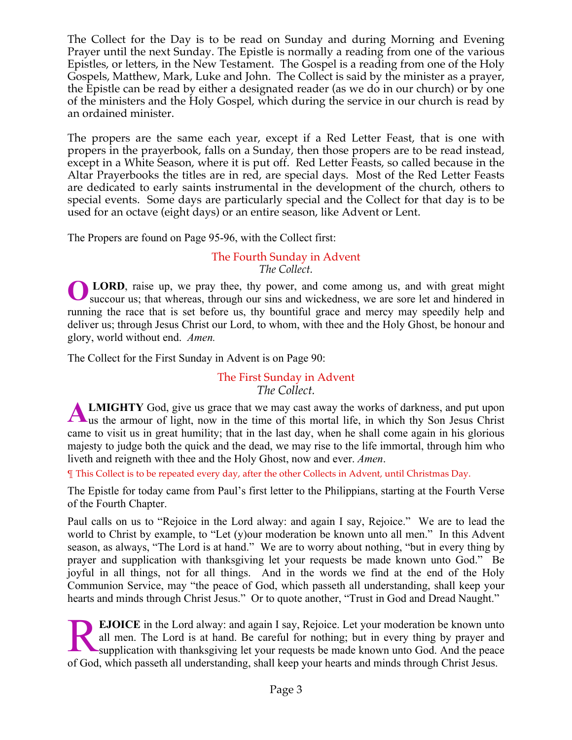The Collect for the Day is to be read on Sunday and during Morning and Evening Prayer until the next Sunday. The Epistle is normally a reading from one of the various Epistles, or letters, in the New Testament. The Gospel is a reading from one of the Holy Gospels, Matthew, Mark, Luke and John. The Collect is said by the minister as a prayer, the Epistle can be read by either a designated reader (as we do in our church) or by one of the ministers and the Holy Gospel, which during the service in our church is read by an ordained minister.

The propers are the same each year, except if a Red Letter Feast, that is one with propers in the prayerbook, falls on a Sunday, then those propers are to be read instead, except in a White Season, where it is put off. Red Letter Feasts, so called because in the Altar Prayerbooks the titles are in red, are special days. Most of the Red Letter Feasts are dedicated to early saints instrumental in the development of the church, others to special events. Some days are particularly special and the Collect for that day is to be used for an octave (eight days) or an entire season, like Advent or Lent.

The Propers are found on Page 95-96, with the Collect first:

# The Fourth Sunday in Advent *The Collect.*

LORD, raise up, we pray thee, thy power, and come among us, and with great might succour us; that whereas, through our sins and wickedness, we are sore let and hindered in running the race that is set before us, thy bountiful grace and mercy may speedily help and deliver us; through Jesus Christ our Lord, to whom, with thee and the Holy Ghost, be honour and glory, world without end. *Amen.* **O**

The Collect for the First Sunday in Advent is on Page 90:

# The First Sunday in Advent *The Collect.*

**LMIGHTY** God, give us grace that we may cast away the works of darkness, and put upon **ALMIGHTY** God, give us grace that we may cast away the works of darkness, and put upon us the armour of light, now in the time of this mortal life, in which thy Son Jesus Christ came to visit us in great humility; that in the last day, when he shall come again in his glorious majesty to judge both the quick and the dead, we may rise to the life immortal, through him who liveth and reigneth with thee and the Holy Ghost, now and ever. *Amen*.

¶ This Collect is to be repeated every day, after the other Collects in Advent, until Christmas Day.

The Epistle for today came from Paul's first letter to the Philippians, starting at the Fourth Verse of the Fourth Chapter.

Paul calls on us to "Rejoice in the Lord alway: and again I say, Rejoice." We are to lead the world to Christ by example, to "Let (y) our moderation be known unto all men." In this Advent season, as always, "The Lord is at hand." We are to worry about nothing, "but in every thing by prayer and supplication with thanksgiving let your requests be made known unto God." Be joyful in all things, not for all things. And in the words we find at the end of the Holy Communion Service, may "the peace of God, which passeth all understanding, shall keep your hearts and minds through Christ Jesus." Or to quote another, "Trust in God and Dread Naught."

**EJOICE** in the Lord alway: and again I say, Rejoice. Let your moderation be known unto all men. The Lord is at hand. Be careful for nothing; but in every thing by prayer and supplication with thanksgiving let your requests be made known unto God. And the peace of God, which passeth all understanding, shall keep your hearts and minds through Christ Jesus. R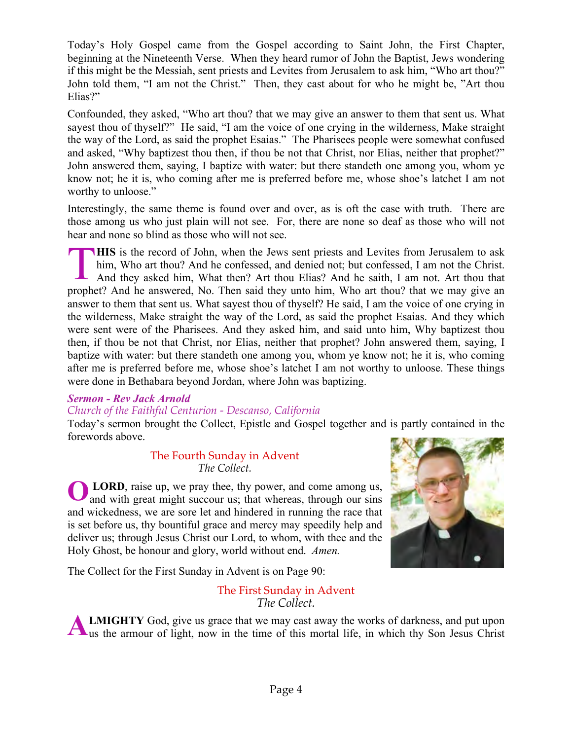Today's Holy Gospel came from the Gospel according to Saint John, the First Chapter, beginning at the Nineteenth Verse. When they heard rumor of John the Baptist, Jews wondering if this might be the Messiah, sent priests and Levites from Jerusalem to ask him, "Who art thou?" John told them, "I am not the Christ." Then, they cast about for who he might be, "Art thou Elias?"

Confounded, they asked, "Who art thou? that we may give an answer to them that sent us. What sayest thou of thyself?" He said, "I am the voice of one crying in the wilderness, Make straight the way of the Lord, as said the prophet Esaias." The Pharisees people were somewhat confused and asked, "Why baptizest thou then, if thou be not that Christ, nor Elias, neither that prophet?" John answered them, saying, I baptize with water: but there standeth one among you, whom ye know not; he it is, who coming after me is preferred before me, whose shoe's latchet I am not worthy to unloose."

Interestingly, the same theme is found over and over, as is oft the case with truth. There are those among us who just plain will not see. For, there are none so deaf as those who will not hear and none so blind as those who will not see.

**HIS** is the record of John, when the Jews sent priests and Levites from Jerusalem to ask him, Who art thou? And he confessed, and denied not; but confessed, I am not the Christ. And they asked him, What then? Art thou Elias? And he saith, I am not. Art thou that prophet? And he answered, No. Then said they unto him, Who art thou? that we may give an answer to them that sent us. What sayest thou of thyself? He said, I am the voice of one crying in the wilderness, Make straight the way of the Lord, as said the prophet Esaias. And they which were sent were of the Pharisees. And they asked him, and said unto him, Why baptizest thou then, if thou be not that Christ, nor Elias, neither that prophet? John answered them, saying, I baptize with water: but there standeth one among you, whom ye know not; he it is, who coming after me is preferred before me, whose shoe's latchet I am not worthy to unloose. These things were done in Bethabara beyond Jordan, where John was baptizing. T

# *Sermon - Rev Jack Arnold*

# *Church of the Faithful Centurion - Descanso, California*

Today's sermon brought the Collect, Epistle and Gospel together and is partly contained in the forewords above.

### The Fourth Sunday in Advent *The Collect.*

**LORD**, raise up, we pray thee, thy power, and come among us, and with great might succour us; that whereas, through our sins and wickedness, we are sore let and hindered in running the race that is set before us, thy bountiful grace and mercy may speedily help and deliver us; through Jesus Christ our Lord, to whom, with thee and the Holy Ghost, be honour and glory, world without end. *Amen.* **O**



The Collect for the First Sunday in Advent is on Page 90:

# The First Sunday in Advent *The Collect.*

**LMIGHTY** God, give us grace that we may cast away the works of darkness, and put upon **ALMIGHTY** God, give us grace that we may cast away the works of darkness, and put upon us the armour of light, now in the time of this mortal life, in which thy Son Jesus Christ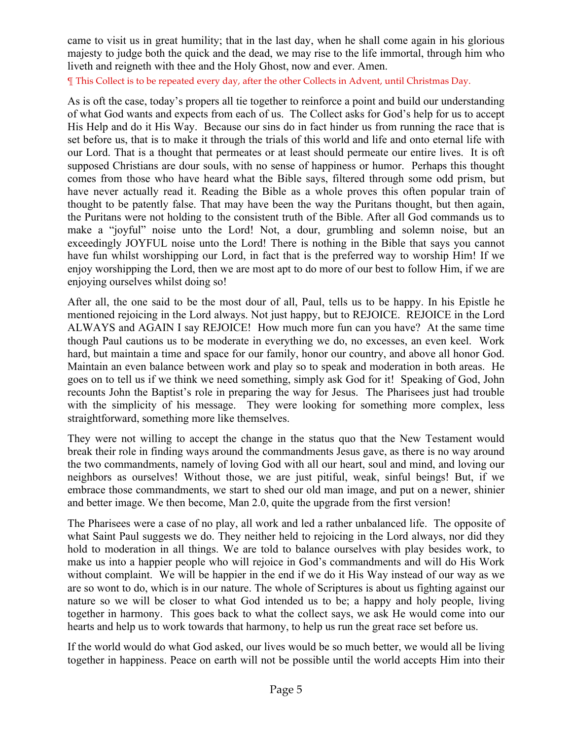came to visit us in great humility; that in the last day, when he shall come again in his glorious majesty to judge both the quick and the dead, we may rise to the life immortal, through him who liveth and reigneth with thee and the Holy Ghost, now and ever. Amen.

¶ This Collect is to be repeated every day, after the other Collects in Advent, until Christmas Day.

As is oft the case, today's propers all tie together to reinforce a point and build our understanding of what God wants and expects from each of us. The Collect asks for God's help for us to accept His Help and do it His Way. Because our sins do in fact hinder us from running the race that is set before us, that is to make it through the trials of this world and life and onto eternal life with our Lord. That is a thought that permeates or at least should permeate our entire lives. It is oft supposed Christians are dour souls, with no sense of happiness or humor. Perhaps this thought comes from those who have heard what the Bible says, filtered through some odd prism, but have never actually read it. Reading the Bible as a whole proves this often popular train of thought to be patently false. That may have been the way the Puritans thought, but then again, the Puritans were not holding to the consistent truth of the Bible. After all God commands us to make a "joyful" noise unto the Lord! Not, a dour, grumbling and solemn noise, but an exceedingly JOYFUL noise unto the Lord! There is nothing in the Bible that says you cannot have fun whilst worshipping our Lord, in fact that is the preferred way to worship Him! If we enjoy worshipping the Lord, then we are most apt to do more of our best to follow Him, if we are enjoying ourselves whilst doing so!

After all, the one said to be the most dour of all, Paul, tells us to be happy. In his Epistle he mentioned rejoicing in the Lord always. Not just happy, but to REJOICE. REJOICE in the Lord ALWAYS and AGAIN I say REJOICE! How much more fun can you have? At the same time though Paul cautions us to be moderate in everything we do, no excesses, an even keel. Work hard, but maintain a time and space for our family, honor our country, and above all honor God. Maintain an even balance between work and play so to speak and moderation in both areas. He goes on to tell us if we think we need something, simply ask God for it! Speaking of God, John recounts John the Baptist's role in preparing the way for Jesus. The Pharisees just had trouble with the simplicity of his message. They were looking for something more complex, less straightforward, something more like themselves.

They were not willing to accept the change in the status quo that the New Testament would break their role in finding ways around the commandments Jesus gave, as there is no way around the two commandments, namely of loving God with all our heart, soul and mind, and loving our neighbors as ourselves! Without those, we are just pitiful, weak, sinful beings! But, if we embrace those commandments, we start to shed our old man image, and put on a newer, shinier and better image. We then become, Man 2.0, quite the upgrade from the first version!

The Pharisees were a case of no play, all work and led a rather unbalanced life. The opposite of what Saint Paul suggests we do. They neither held to rejoicing in the Lord always, nor did they hold to moderation in all things. We are told to balance ourselves with play besides work, to make us into a happier people who will rejoice in God's commandments and will do His Work without complaint. We will be happier in the end if we do it His Way instead of our way as we are so wont to do, which is in our nature. The whole of Scriptures is about us fighting against our nature so we will be closer to what God intended us to be; a happy and holy people, living together in harmony. This goes back to what the collect says, we ask He would come into our hearts and help us to work towards that harmony, to help us run the great race set before us.

If the world would do what God asked, our lives would be so much better, we would all be living together in happiness. Peace on earth will not be possible until the world accepts Him into their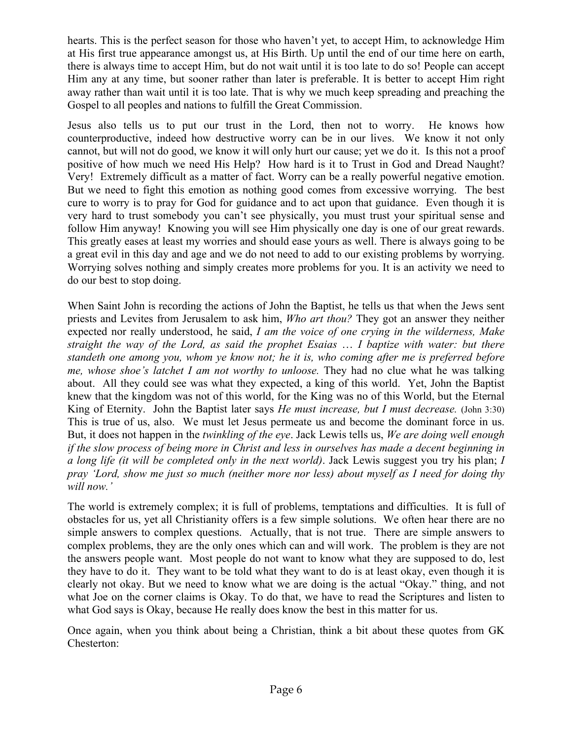hearts. This is the perfect season for those who haven't yet, to accept Him, to acknowledge Him at His first true appearance amongst us, at His Birth. Up until the end of our time here on earth, there is always time to accept Him, but do not wait until it is too late to do so! People can accept Him any at any time, but sooner rather than later is preferable. It is better to accept Him right away rather than wait until it is too late. That is why we much keep spreading and preaching the Gospel to all peoples and nations to fulfill the Great Commission.

Jesus also tells us to put our trust in the Lord, then not to worry. He knows how counterproductive, indeed how destructive worry can be in our lives. We know it not only cannot, but will not do good, we know it will only hurt our cause; yet we do it. Is this not a proof positive of how much we need His Help? How hard is it to Trust in God and Dread Naught? Very! Extremely difficult as a matter of fact. Worry can be a really powerful negative emotion. But we need to fight this emotion as nothing good comes from excessive worrying. The best cure to worry is to pray for God for guidance and to act upon that guidance. Even though it is very hard to trust somebody you can't see physically, you must trust your spiritual sense and follow Him anyway! Knowing you will see Him physically one day is one of our great rewards. This greatly eases at least my worries and should ease yours as well. There is always going to be a great evil in this day and age and we do not need to add to our existing problems by worrying. Worrying solves nothing and simply creates more problems for you. It is an activity we need to do our best to stop doing.

When Saint John is recording the actions of John the Baptist, he tells us that when the Jews sent priests and Levites from Jerusalem to ask him, *Who art thou?* They got an answer they neither expected nor really understood, he said, *I am the voice of one crying in the wilderness, Make straight the way of the Lord, as said the prophet Esaias* … *I baptize with water: but there standeth one among you, whom ye know not; he it is, who coming after me is preferred before me, whose shoe's latchet I am not worthy to unloose.* They had no clue what he was talking about. All they could see was what they expected, a king of this world. Yet, John the Baptist knew that the kingdom was not of this world, for the King was no of this World, but the Eternal King of Eternity. John the Baptist later says *He must increase, but I must decrease.* (John 3:30) This is true of us, also. We must let Jesus permeate us and become the dominant force in us. But, it does not happen in the *twinkling of the eye*. Jack Lewis tells us, *We are doing well enough if the slow process of being more in Christ and less in ourselves has made a decent beginning in a long life (it will be completed only in the next world)*. Jack Lewis suggest you try his plan; *I pray 'Lord, show me just so much (neither more nor less) about myself as I need for doing thy will now.'*

The world is extremely complex; it is full of problems, temptations and difficulties. It is full of obstacles for us, yet all Christianity offers is a few simple solutions. We often hear there are no simple answers to complex questions. Actually, that is not true. There are simple answers to complex problems, they are the only ones which can and will work. The problem is they are not the answers people want. Most people do not want to know what they are supposed to do, lest they have to do it. They want to be told what they want to do is at least okay, even though it is clearly not okay. But we need to know what we are doing is the actual "Okay." thing, and not what Joe on the corner claims is Okay. To do that, we have to read the Scriptures and listen to what God says is Okay, because He really does know the best in this matter for us.

Once again, when you think about being a Christian, think a bit about these quotes from GK Chesterton: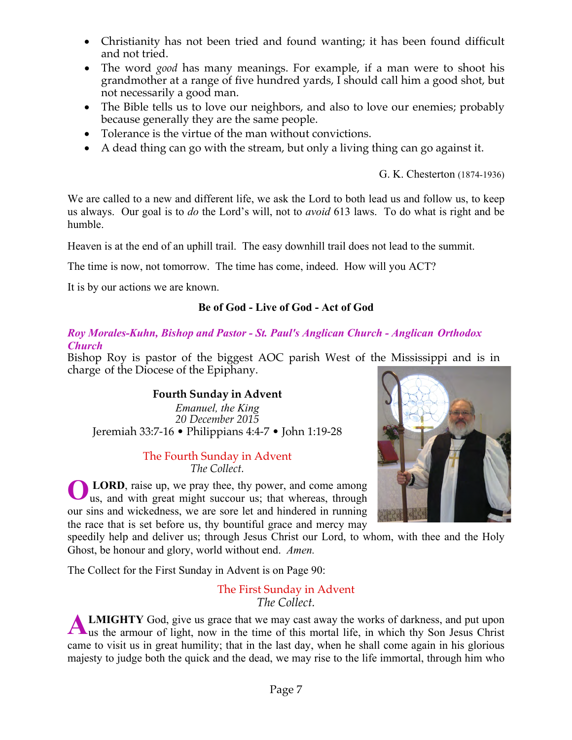- Christianity has not been tried and found wanting; it has been found difficult and not tried.
- The word *good* has many meanings. For example, if a man were to shoot his grandmother at a range of five hundred yards, I should call him a good shot, but not necessarily a good man.
- The Bible tells us to love our neighbors, and also to love our enemies; probably because generally they are the same people.
- Tolerance is the virtue of the man without convictions.
- A dead thing can go with the stream, but only a living thing can go against it.

G. K. Chesterton (1874-1936)

We are called to a new and different life, we ask the Lord to both lead us and follow us, to keep us always. Our goal is to *do* the Lord's will, not to *avoid* 613 laws. To do what is right and be humble.

Heaven is at the end of an uphill trail. The easy downhill trail does not lead to the summit.

The time is now, not tomorrow. The time has come, indeed. How will you ACT?

It is by our actions we are known.

# **Be of God - Live of God - Act of God**

#### *Roy Morales-Kuhn, Bishop and Pastor - St. Paul's Anglican Church - Anglican Orthodox Church*

Bishop Roy is pastor of the biggest AOC parish West of the Mississippi and is in charge of the Diocese of the Epiphany.

# **Fourth Sunday in Advent**

*Emanuel, the King 20 December 2015* Jeremiah 33:7-16 • Philippians 4:4-7 • John 1:19-28

#### The Fourth Sunday in Advent *The Collect.*

**LORD**, raise up, we pray thee, thy power, and come among us, and with great might succour us; that whereas, through our sins and wickedness, we are sore let and hindered in running the race that is set before us, thy bountiful grace and mercy may **O**



speedily help and deliver us; through Jesus Christ our Lord, to whom, with thee and the Holy Ghost, be honour and glory, world without end. *Amen.*

The Collect for the First Sunday in Advent is on Page 90:

The First Sunday in Advent *The Collect.*

**LMIGHTY** God, give us grace that we may cast away the works of darkness, and put upon us the armour of light, now in the time of this mortal life, in which thy Son Jesus Christ came to visit us in great humility; that in the last day, when he shall come again in his glorious majesty to judge both the quick and the dead, we may rise to the life immortal, through him who **A**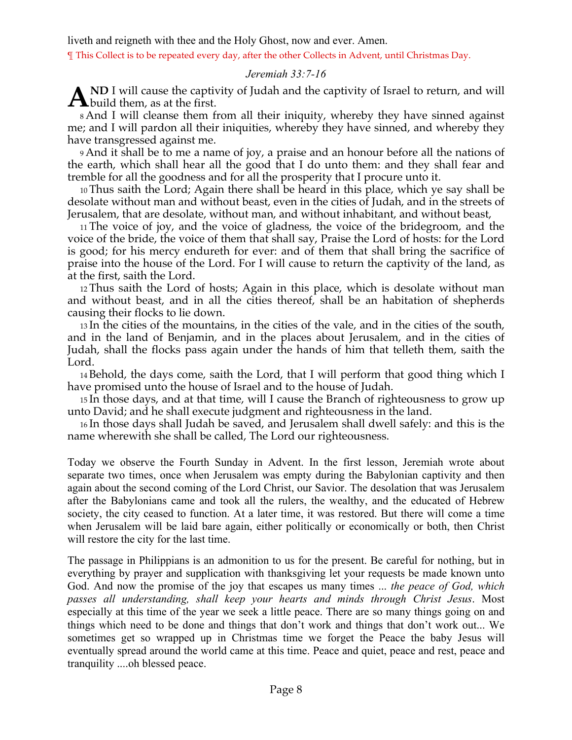liveth and reigneth with thee and the Holy Ghost, now and ever. Amen.

¶ This Collect is to be repeated every day, after the other Collects in Advent, until Christmas Day.

#### *Jeremiah 33:7-16*

**ND** I will cause the captivity of Judah and the captivity of Israel to return, and will  $\mathbf{A}^{\text{ND I} \text{ will cause the captiv}}$ 

8 And I will cleanse them from all their iniquity, whereby they have sinned against me; and I will pardon all their iniquities, whereby they have sinned, and whereby they have transgressed against me.

9 And it shall be to me a name of joy, a praise and an honour before all the nations of the earth, which shall hear all the good that I do unto them: and they shall fear and tremble for all the goodness and for all the prosperity that I procure unto it.

10 Thus saith the Lord; Again there shall be heard in this place, which ye say shall be desolate without man and without beast, even in the cities of Judah, and in the streets of Jerusalem, that are desolate, without man, and without inhabitant, and without beast,

11 The voice of joy, and the voice of gladness, the voice of the bridegroom, and the voice of the bride, the voice of them that shall say, Praise the Lord of hosts: for the Lord is good; for his mercy endureth for ever: and of them that shall bring the sacrifice of praise into the house of the Lord. For I will cause to return the captivity of the land, as at the first, saith the Lord.

12 Thus saith the Lord of hosts; Again in this place, which is desolate without man and without beast, and in all the cities thereof, shall be an habitation of shepherds causing their flocks to lie down.

13 In the cities of the mountains, in the cities of the vale, and in the cities of the south, and in the land of Benjamin, and in the places about Jerusalem, and in the cities of Judah, shall the flocks pass again under the hands of him that telleth them, saith the Lord.

14 Behold, the days come, saith the Lord, that I will perform that good thing which I have promised unto the house of Israel and to the house of Judah.

15 In those days, and at that time, will I cause the Branch of righteousness to grow up unto David; and he shall execute judgment and righteousness in the land.

16 In those days shall Judah be saved, and Jerusalem shall dwell safely: and this is the name wherewith she shall be called, The Lord our righteousness.

Today we observe the Fourth Sunday in Advent. In the first lesson, Jeremiah wrote about separate two times, once when Jerusalem was empty during the Babylonian captivity and then again about the second coming of the Lord Christ, our Savior. The desolation that was Jerusalem after the Babylonians came and took all the rulers, the wealthy, and the educated of Hebrew society, the city ceased to function. At a later time, it was restored. But there will come a time when Jerusalem will be laid bare again, either politically or economically or both, then Christ will restore the city for the last time.

The passage in Philippians is an admonition to us for the present. Be careful for nothing, but in everything by prayer and supplication with thanksgiving let your requests be made known unto God. And now the promise of the joy that escapes us many times ... *the peace of God, which passes all understanding, shall keep your hearts and minds through Christ Jesus*. Most especially at this time of the year we seek a little peace. There are so many things going on and things which need to be done and things that don't work and things that don't work out... We sometimes get so wrapped up in Christmas time we forget the Peace the baby Jesus will eventually spread around the world came at this time. Peace and quiet, peace and rest, peace and tranquility ....oh blessed peace.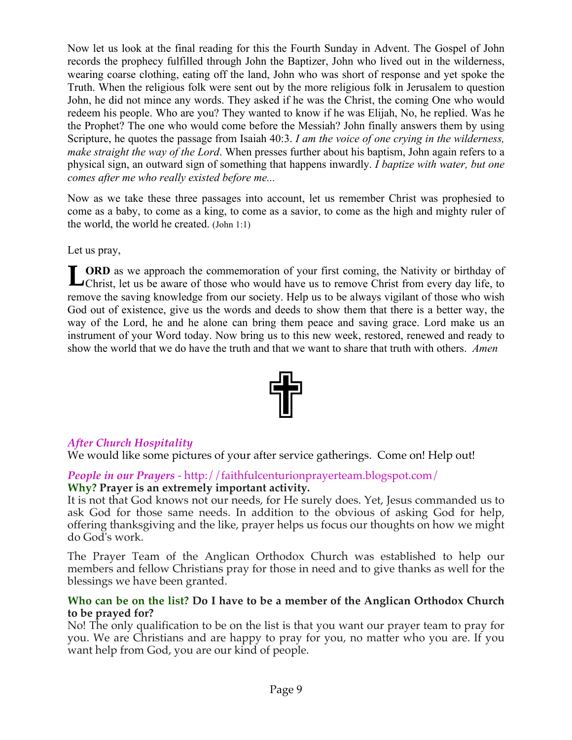Now let us look at the final reading for this the Fourth Sunday in Advent. The Gospel of John records the prophecy fulfilled through John the Baptizer, John who lived out in the wilderness, wearing coarse clothing, eating off the land, John who was short of response and yet spoke the Truth. When the religious folk were sent out by the more religious folk in Jerusalem to question John, he did not mince any words. They asked if he was the Christ, the coming One who would redeem his people. Who are you? They wanted to know if he was Elijah, No, he replied. Was he the Prophet? The one who would come before the Messiah? John finally answers them by using Scripture, he quotes the passage from Isaiah 40:3. *I am the voice of one crying in the wilderness, make straight the way of the Lord*. When presses further about his baptism, John again refers to a physical sign, an outward sign of something that happens inwardly. *I baptize with water, but one comes after me who really existed before me...*

Now as we take these three passages into account, let us remember Christ was prophesied to come as a baby, to come as a king, to come as a savior, to come as the high and mighty ruler of the world, the world he created. (John 1:1)

Let us pray,

**ORD** as we approach the commemoration of your first coming, the Nativity or birthday of **LORD** as we approach the commemoration of your first coming, the Nativity or birthday of Christ, let us be aware of those who would have us to remove Christ from every day life, to remove the saving knowledge from our society. Help us to be always vigilant of those who wish God out of existence, give us the words and deeds to show them that there is a better way, the way of the Lord, he and he alone can bring them peace and saving grace. Lord make us an instrument of your Word today. Now bring us to this new week, restored, renewed and ready to show the world that we do have the truth and that we want to share that truth with others. *Amen*



# *After Church Hospitality*

We would like some pictures of your after service gatherings. Come on! Help out!

*People in our Prayers* - http://faithfulcenturionprayerteam.blogspot.com/ **Why? Prayer is an extremely important activity.**

It is not that God knows not our needs, for He surely does. Yet, Jesus commanded us to ask God for those same needs. In addition to the obvious of asking God for help, offering thanksgiving and the like, prayer helps us focus our thoughts on how we might do God's work.

The Prayer Team of the Anglican Orthodox Church was established to help our members and fellow Christians pray for those in need and to give thanks as well for the blessings we have been granted.

#### **Who can be on the list? Do I have to be a member of the Anglican Orthodox Church to be prayed for?**

No! The only qualification to be on the list is that you want our prayer team to pray for you. We are Christians and are happy to pray for you, no matter who you are. If you want help from God, you are our kind of people.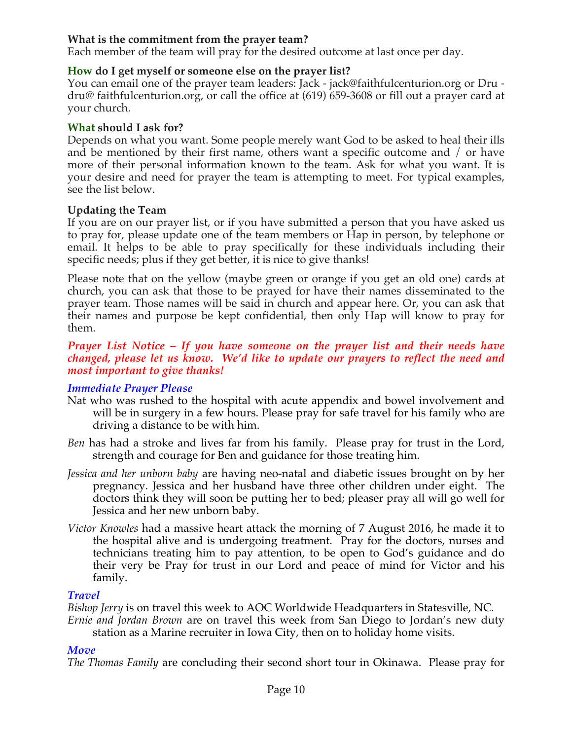### **What is the commitment from the prayer team?**

Each member of the team will pray for the desired outcome at last once per day.

### **How do I get myself or someone else on the prayer list?**

You can email one of the prayer team leaders: Jack - jack@faithfulcenturion.org or Dru dru@ faithfulcenturion.org, or call the office at (619) 659-3608 or fill out a prayer card at your church.

### **What should I ask for?**

Depends on what you want. Some people merely want God to be asked to heal their ills and be mentioned by their first name, others want a specific outcome and / or have more of their personal information known to the team. Ask for what you want. It is your desire and need for prayer the team is attempting to meet. For typical examples, see the list below.

### **Updating the Team**

If you are on our prayer list, or if you have submitted a person that you have asked us to pray for, please update one of the team members or Hap in person, by telephone or email. It helps to be able to pray specifically for these individuals including their specific needs; plus if they get better, it is nice to give thanks!

Please note that on the yellow (maybe green or orange if you get an old one) cards at church, you can ask that those to be prayed for have their names disseminated to the prayer team. Those names will be said in church and appear here. Or, you can ask that their names and purpose be kept confidential, then only Hap will know to pray for them.

#### *Prayer List Notice – If you have someone on the prayer list and their needs have changed, please let us know. We'd like to update our prayers to reflect the need and most important to give thanks!*

#### *Immediate Prayer Please*

- Nat who was rushed to the hospital with acute appendix and bowel involvement and will be in surgery in a few hours. Please pray for safe travel for his family who are driving a distance to be with him.
- *Ben* has had a stroke and lives far from his family. Please pray for trust in the Lord, strength and courage for Ben and guidance for those treating him.
- *Jessica and her unborn baby* are having neo-natal and diabetic issues brought on by her pregnancy. Jessica and her husband have three other children under eight. The doctors think they will soon be putting her to bed; pleaser pray all will go well for Jessica and her new unborn baby.
- *Victor Knowles* had a massive heart attack the morning of 7 August 2016, he made it to the hospital alive and is undergoing treatment. Pray for the doctors, nurses and technicians treating him to pay attention, to be open to God's guidance and do their very be Pray for trust in our Lord and peace of mind for Victor and his family.

#### *Travel*

*Bishop Jerry* is on travel this week to AOC Worldwide Headquarters in Statesville, NC.

*Ernie and Jordan Brown* are on travel this week from San Diego to Jordan's new duty station as a Marine recruiter in Iowa City, then on to holiday home visits.

# *Move*

*The Thomas Family* are concluding their second short tour in Okinawa. Please pray for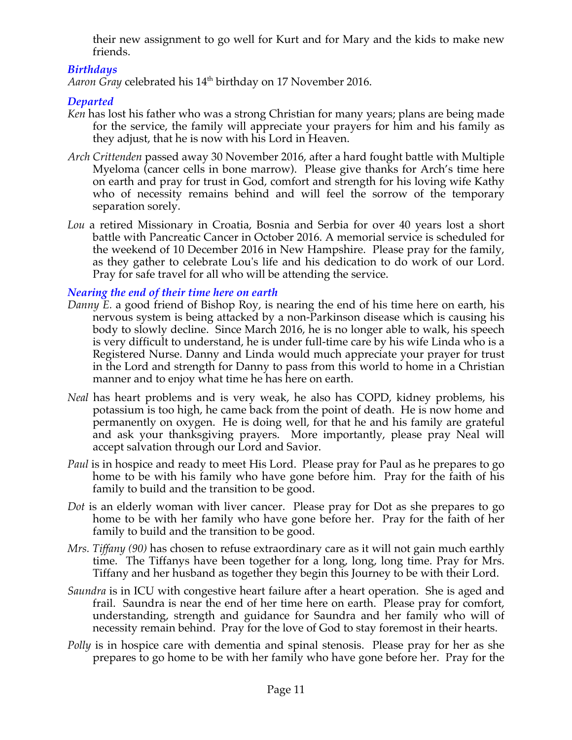their new assignment to go well for Kurt and for Mary and the kids to make new friends.

# *Birthdays*

*Aaron Gray* celebrated his 14<sup>th</sup> birthday on 17 November 2016.

# *Departed*

- *Ken* has lost his father who was a strong Christian for many years; plans are being made for the service, the family will appreciate your prayers for him and his family as they adjust, that he is now with his Lord in Heaven.
- *Arch Crittenden* passed away 30 November 2016, after a hard fought battle with Multiple Myeloma (cancer cells in bone marrow). Please give thanks for Arch's time here on earth and pray for trust in God, comfort and strength for his loving wife Kathy who of necessity remains behind and will feel the sorrow of the temporary separation sorely.
- *Lou* a retired Missionary in Croatia, Bosnia and Serbia for over 40 years lost a short battle with Pancreatic Cancer in October 2016. A memorial service is scheduled for the weekend of 10 December 2016 in New Hampshire. Please pray for the family, as they gather to celebrate Lou's life and his dedication to do work of our Lord. Pray for safe travel for all who will be attending the service.

*Nearing the end of their time here on earth*

- *Danny E.* a good friend of Bishop Roy, is nearing the end of his time here on earth, his nervous system is being attacked by a non-Parkinson disease which is causing his body to slowly decline. Since March 2016, he is no longer able to walk, his speech is very difficult to understand, he is under full-time care by his wife Linda who is a Registered Nurse. Danny and Linda would much appreciate your prayer for trust in the Lord and strength for Danny to pass from this world to home in a Christian manner and to enjoy what time he has here on earth.
- *Neal* has heart problems and is very weak, he also has COPD, kidney problems, his potassium is too high, he came back from the point of death. He is now home and permanently on oxygen. He is doing well, for that he and his family are grateful and ask your thanksgiving prayers. More importantly, please pray Neal will accept salvation through our Lord and Savior.
- *Paul* is in hospice and ready to meet His Lord. Please pray for Paul as he prepares to go home to be with his family who have gone before him. Pray for the faith of his family to build and the transition to be good.
- *Dot* is an elderly woman with liver cancer. Please pray for Dot as she prepares to go home to be with her family who have gone before her. Pray for the faith of her family to build and the transition to be good.
- *Mrs. Tiffany (90)* has chosen to refuse extraordinary care as it will not gain much earthly time. The Tiffanys have been together for a long, long, long time. Pray for Mrs. Tiffany and her husband as together they begin this Journey to be with their Lord.
- *Saundra* is in ICU with congestive heart failure after a heart operation. She is aged and frail. Saundra is near the end of her time here on earth. Please pray for comfort, understanding, strength and guidance for Saundra and her family who will of necessity remain behind. Pray for the love of God to stay foremost in their hearts.
- *Polly* is in hospice care with dementia and spinal stenosis. Please pray for her as she prepares to go home to be with her family who have gone before her. Pray for the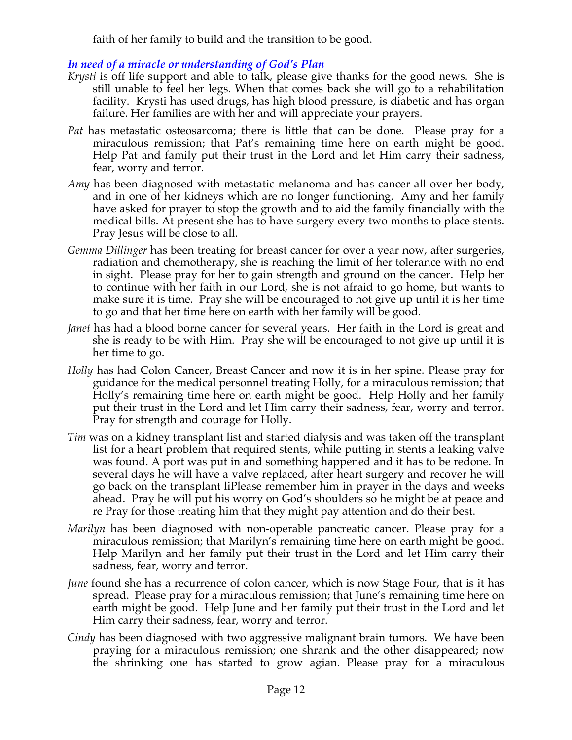faith of her family to build and the transition to be good.

# *In need of a miracle or understanding of God's Plan*

- *Krysti* is off life support and able to talk, please give thanks for the good news. She is still unable to feel her legs. When that comes back she will go to a rehabilitation facility. Krysti has used drugs, has high blood pressure, is diabetic and has organ failure. Her families are with her and will appreciate your prayers.
- *Pat* has metastatic osteosarcoma; there is little that can be done. Please pray for a miraculous remission; that Pat's remaining time here on earth might be good. Help Pat and family put their trust in the Lord and let Him carry their sadness, fear, worry and terror.
- *Amy* has been diagnosed with metastatic melanoma and has cancer all over her body, and in one of her kidneys which are no longer functioning. Amy and her family have asked for prayer to stop the growth and to aid the family financially with the medical bills. At present she has to have surgery every two months to place stents. Pray Jesus will be close to all.
- *Gemma Dillinger* has been treating for breast cancer for over a year now, after surgeries, radiation and chemotherapy, she is reaching the limit of her tolerance with no end in sight. Please pray for her to gain strength and ground on the cancer. Help her to continue with her faith in our Lord, she is not afraid to go home, but wants to make sure it is time. Pray she will be encouraged to not give up until it is her time to go and that her time here on earth with her family will be good.
- *Janet* has had a blood borne cancer for several years. Her faith in the Lord is great and she is ready to be with Him. Pray she will be encouraged to not give up until it is her time to go.
- *Holly* has had Colon Cancer, Breast Cancer and now it is in her spine. Please pray for guidance for the medical personnel treating Holly, for a miraculous remission; that Holly's remaining time here on earth might be good. Help Holly and her family put their trust in the Lord and let Him carry their sadness, fear, worry and terror. Pray for strength and courage for Holly.
- *Tim* was on a kidney transplant list and started dialysis and was taken off the transplant list for a heart problem that required stents, while putting in stents a leaking valve was found. A port was put in and something happened and it has to be redone. In several days he will have a valve replaced, after heart surgery and recover he will go back on the transplant liPlease remember him in prayer in the days and weeks ahead. Pray he will put his worry on God's shoulders so he might be at peace and re Pray for those treating him that they might pay attention and do their best.
- *Marilyn* has been diagnosed with non-operable pancreatic cancer. Please pray for a miraculous remission; that Marilyn's remaining time here on earth might be good. Help Marilyn and her family put their trust in the Lord and let Him carry their sadness, fear, worry and terror.
- *June* found she has a recurrence of colon cancer, which is now Stage Four, that is it has spread. Please pray for a miraculous remission; that June's remaining time here on earth might be good. Help June and her family put their trust in the Lord and let Him carry their sadness, fear, worry and terror.
- *Cindy* has been diagnosed with two aggressive malignant brain tumors. We have been praying for a miraculous remission; one shrank and the other disappeared; now the shrinking one has started to grow agian. Please pray for a miraculous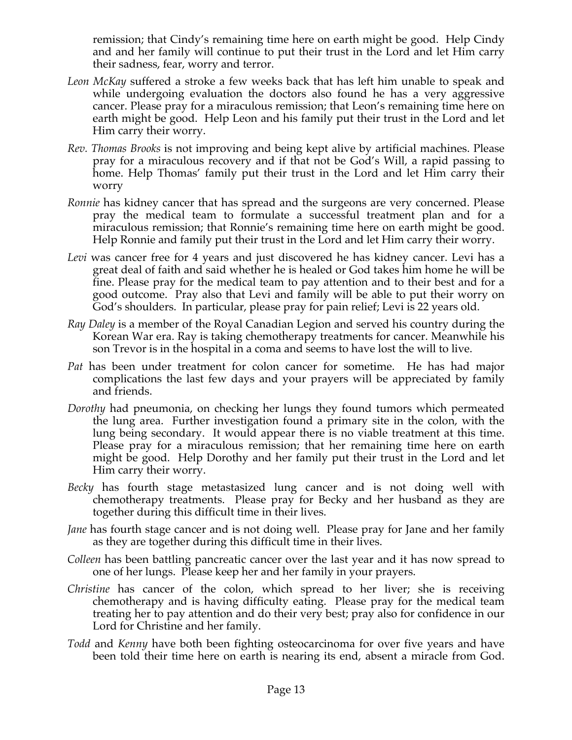remission; that Cindy's remaining time here on earth might be good. Help Cindy and and her family will continue to put their trust in the Lord and let Him carry their sadness, fear, worry and terror.

- *Leon McKay* suffered a stroke a few weeks back that has left him unable to speak and while undergoing evaluation the doctors also found he has a very aggressive cancer. Please pray for a miraculous remission; that Leon's remaining time here on earth might be good. Help Leon and his family put their trust in the Lord and let Him carry their worry.
- *Rev. Thomas Brooks* is not improving and being kept alive by artificial machines. Please pray for a miraculous recovery and if that not be God's Will, a rapid passing to home. Help Thomas' family put their trust in the Lord and let Him carry their worry
- *Ronnie* has kidney cancer that has spread and the surgeons are very concerned. Please pray the medical team to formulate a successful treatment plan and for a miraculous remission; that Ronnie's remaining time here on earth might be good. Help Ronnie and family put their trust in the Lord and let Him carry their worry.
- *Levi* was cancer free for 4 years and just discovered he has kidney cancer. Levi has a great deal of faith and said whether he is healed or God takes him home he will be fine. Please pray for the medical team to pay attention and to their best and for a good outcome. Pray also that Levi and family will be able to put their worry on God's shoulders. In particular, please pray for pain relief; Levi is 22 years old.
- *Ray Daley* is a member of the Royal Canadian Legion and served his country during the Korean War era. Ray is taking chemotherapy treatments for cancer. Meanwhile his son Trevor is in the hospital in a coma and seems to have lost the will to live.
- *Pat* has been under treatment for colon cancer for sometime. He has had major complications the last few days and your prayers will be appreciated by family and friends.
- *Dorothy* had pneumonia, on checking her lungs they found tumors which permeated the lung area. Further investigation found a primary site in the colon, with the lung being secondary. It would appear there is no viable treatment at this time. Please pray for a miraculous remission; that her remaining time here on earth might be good. Help Dorothy and her family put their trust in the Lord and let Him carry their worry.
- *Becky* has fourth stage metastasized lung cancer and is not doing well with chemotherapy treatments. Please pray for Becky and her husband as they are together during this difficult time in their lives.
- *Jane* has fourth stage cancer and is not doing well. Please pray for Jane and her family as they are together during this difficult time in their lives.
- *Colleen* has been battling pancreatic cancer over the last year and it has now spread to one of her lungs. Please keep her and her family in your prayers.
- *Christine* has cancer of the colon, which spread to her liver; she is receiving chemotherapy and is having difficulty eating. Please pray for the medical team treating her to pay attention and do their very best; pray also for confidence in our Lord for Christine and her family.
- *Todd* and *Kenny* have both been fighting osteocarcinoma for over five years and have been told their time here on earth is nearing its end, absent a miracle from God.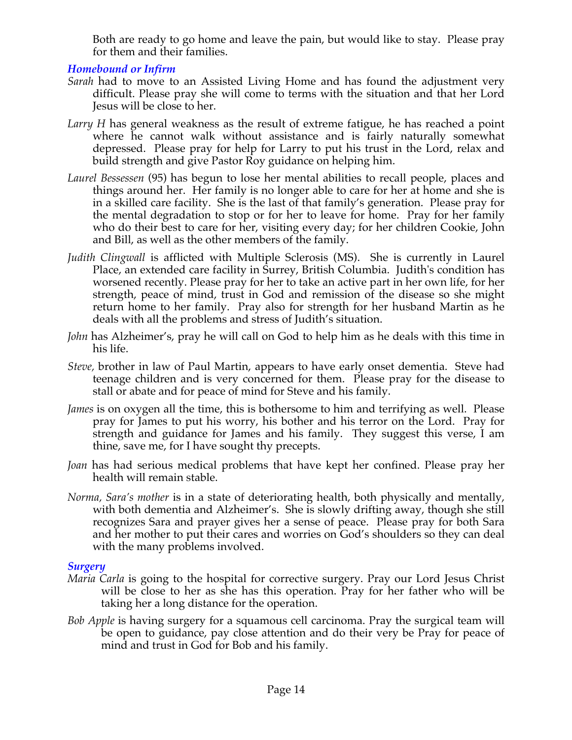Both are ready to go home and leave the pain, but would like to stay. Please pray for them and their families.

# *Homebound or Infirm*

- *Sarah* had to move to an Assisted Living Home and has found the adjustment very difficult. Please pray she will come to terms with the situation and that her Lord Jesus will be close to her.
- *Larry H* has general weakness as the result of extreme fatigue, he has reached a point where he cannot walk without assistance and is fairly naturally somewhat depressed. Please pray for help for Larry to put his trust in the Lord, relax and build strength and give Pastor Roy guidance on helping him.
- *Laurel Bessessen* (95) has begun to lose her mental abilities to recall people, places and things around her. Her family is no longer able to care for her at home and she is in a skilled care facility. She is the last of that family's generation. Please pray for the mental degradation to stop or for her to leave for home. Pray for her family who do their best to care for her, visiting every day; for her children Cookie, John and Bill, as well as the other members of the family.
- *Judith Clingwall* is afflicted with Multiple Sclerosis (MS). She is currently in Laurel Place, an extended care facility in Surrey, British Columbia. Judith's condition has worsened recently. Please pray for her to take an active part in her own life, for her strength, peace of mind, trust in God and remission of the disease so she might return home to her family. Pray also for strength for her husband Martin as he deals with all the problems and stress of Judith's situation.
- *John* has Alzheimer's, pray he will call on God to help him as he deals with this time in his life.
- *Steve,* brother in law of Paul Martin, appears to have early onset dementia. Steve had teenage children and is very concerned for them. Please pray for the disease to stall or abate and for peace of mind for Steve and his family.
- *James* is on oxygen all the time, this is bothersome to him and terrifying as well. Please pray for James to put his worry, his bother and his terror on the Lord. Pray for strength and guidance for James and his family. They suggest this verse, I am thine, save me, for I have sought thy precepts.
- *Joan* has had serious medical problems that have kept her confined. Please pray her health will remain stable.
- *Norma, Sara's mother* is in a state of deteriorating health, both physically and mentally, with both dementia and Alzheimer's. She is slowly drifting away, though she still recognizes Sara and prayer gives her a sense of peace. Please pray for both Sara and her mother to put their cares and worries on God's shoulders so they can deal with the many problems involved.

#### *Surgery*

- *Maria Carla* is going to the hospital for corrective surgery. Pray our Lord Jesus Christ will be close to her as she has this operation. Pray for her father who will be taking her a long distance for the operation.
- *Bob Apple* is having surgery for a squamous cell carcinoma. Pray the surgical team will be open to guidance, pay close attention and do their very be Pray for peace of mind and trust in God for Bob and his family.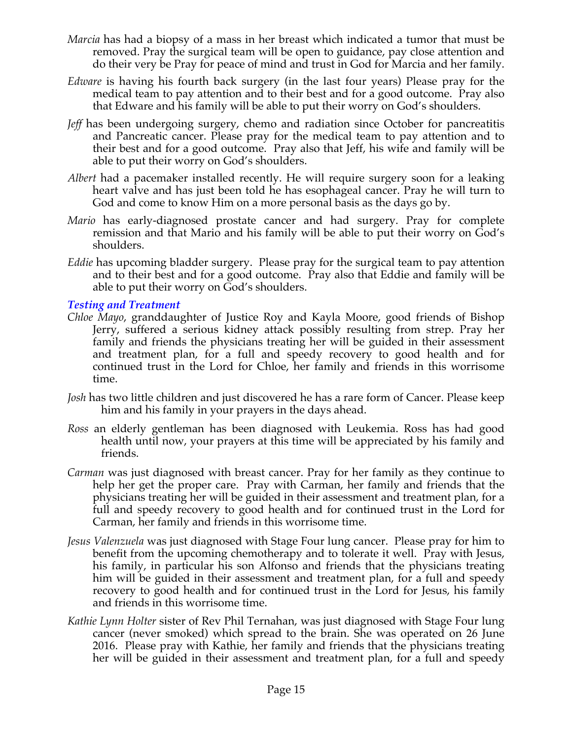- *Marcia* has had a biopsy of a mass in her breast which indicated a tumor that must be removed. Pray the surgical team will be open to guidance, pay close attention and do their very be Pray for peace of mind and trust in God for Marcia and her family.
- *Edware* is having his fourth back surgery (in the last four years) Please pray for the medical team to pay attention and to their best and for a good outcome. Pray also that Edware and his family will be able to put their worry on God's shoulders.
- *Jeff* has been undergoing surgery, chemo and radiation since October for pancreatitis and Pancreatic cancer. Please pray for the medical team to pay attention and to their best and for a good outcome. Pray also that Jeff, his wife and family will be able to put their worry on God's shoulders.
- *Albert* had a pacemaker installed recently. He will require surgery soon for a leaking heart valve and has just been told he has esophageal cancer. Pray he will turn to God and come to know Him on a more personal basis as the days go by.
- *Mario* has early-diagnosed prostate cancer and had surgery. Pray for complete remission and that Mario and his family will be able to put their worry on God's shoulders.
- *Eddie* has upcoming bladder surgery. Please pray for the surgical team to pay attention and to their best and for a good outcome. Pray also that Eddie and family will be able to put their worry on God's shoulders.

#### *Testing and Treatment*

- *Chloe Mayo*, granddaughter of Justice Roy and Kayla Moore, good friends of Bishop Jerry, suffered a serious kidney attack possibly resulting from strep. Pray her family and friends the physicians treating her will be guided in their assessment and treatment plan, for a full and speedy recovery to good health and for continued trust in the Lord for Chloe, her family and friends in this worrisome time.
- *Josh* has two little children and just discovered he has a rare form of Cancer. Please keep him and his family in your prayers in the days ahead.
- *Ross* an elderly gentleman has been diagnosed with Leukemia. Ross has had good health until now, your prayers at this time will be appreciated by his family and friends.
- *Carman* was just diagnosed with breast cancer. Pray for her family as they continue to help her get the proper care. Pray with Carman, her family and friends that the physicians treating her will be guided in their assessment and treatment plan, for a full and speedy recovery to good health and for continued trust in the Lord for Carman, her family and friends in this worrisome time.
- *Jesus Valenzuela* was just diagnosed with Stage Four lung cancer. Please pray for him to benefit from the upcoming chemotherapy and to tolerate it well. Pray with Jesus, his family, in particular his son Alfonso and friends that the physicians treating him will be guided in their assessment and treatment plan, for a full and speedy recovery to good health and for continued trust in the Lord for Jesus, his family and friends in this worrisome time.
- *Kathie Lynn Holter* sister of Rev Phil Ternahan, was just diagnosed with Stage Four lung cancer (never smoked) which spread to the brain. She was operated on 26 June 2016. Please pray with Kathie, her family and friends that the physicians treating her will be guided in their assessment and treatment plan, for a full and speedy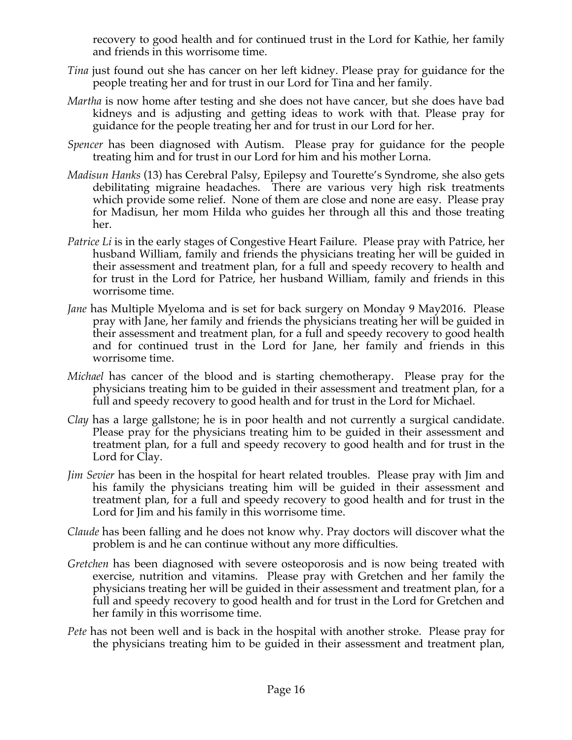recovery to good health and for continued trust in the Lord for Kathie, her family and friends in this worrisome time.

- *Tina* just found out she has cancer on her left kidney. Please pray for guidance for the people treating her and for trust in our Lord for Tina and her family.
- *Martha* is now home after testing and she does not have cancer, but she does have bad kidneys and is adjusting and getting ideas to work with that. Please pray for guidance for the people treating her and for trust in our Lord for her.
- *Spencer* has been diagnosed with Autism. Please pray for guidance for the people treating him and for trust in our Lord for him and his mother Lorna.
- *Madisun Hanks* (13) has Cerebral Palsy, Epilepsy and Tourette's Syndrome, she also gets debilitating migraine headaches. There are various very high risk treatments which provide some relief. None of them are close and none are easy. Please pray for Madisun, her mom Hilda who guides her through all this and those treating her.
- *Patrice Li* is in the early stages of Congestive Heart Failure. Please pray with Patrice, her husband William, family and friends the physicians treating her will be guided in their assessment and treatment plan, for a full and speedy recovery to health and for trust in the Lord for Patrice, her husband William, family and friends in this worrisome time.
- *Jane* has Multiple Myeloma and is set for back surgery on Monday 9 May2016. Please pray with Jane, her family and friends the physicians treating her will be guided in their assessment and treatment plan, for a full and speedy recovery to good health and for continued trust in the Lord for Jane, her family and friends in this worrisome time.
- *Michael* has cancer of the blood and is starting chemotherapy. Please pray for the physicians treating him to be guided in their assessment and treatment plan, for a full and speedy recovery to good health and for trust in the Lord for Michael.
- *Clay* has a large gallstone; he is in poor health and not currently a surgical candidate. Please pray for the physicians treating him to be guided in their assessment and treatment plan, for a full and speedy recovery to good health and for trust in the Lord for Clay.
- *Jim Sevier* has been in the hospital for heart related troubles. Please pray with Jim and his family the physicians treating him will be guided in their assessment and treatment plan, for a full and speedy recovery to good health and for trust in the Lord for Jim and his family in this worrisome time.
- *Claude* has been falling and he does not know why. Pray doctors will discover what the problem is and he can continue without any more difficulties.
- *Gretchen* has been diagnosed with severe osteoporosis and is now being treated with exercise, nutrition and vitamins. Please pray with Gretchen and her family the physicians treating her will be guided in their assessment and treatment plan, for a full and speedy recovery to good health and for trust in the Lord for Gretchen and her family in this worrisome time.
- *Pete* has not been well and is back in the hospital with another stroke. Please pray for the physicians treating him to be guided in their assessment and treatment plan,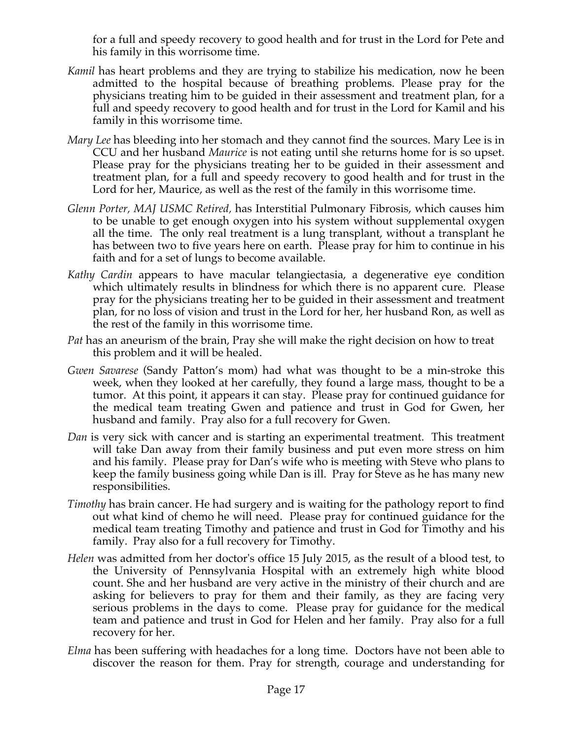for a full and speedy recovery to good health and for trust in the Lord for Pete and his family in this worrisome time.

- *Kamil* has heart problems and they are trying to stabilize his medication, now he been admitted to the hospital because of breathing problems. Please pray for the physicians treating him to be guided in their assessment and treatment plan, for a full and speedy recovery to good health and for trust in the Lord for Kamil and his family in this worrisome time.
- *Mary Lee* has bleeding into her stomach and they cannot find the sources. Mary Lee is in CCU and her husband *Maurice* is not eating until she returns home for is so upset. Please pray for the physicians treating her to be guided in their assessment and treatment plan, for a full and speedy recovery to good health and for trust in the Lord for her, Maurice, as well as the rest of the family in this worrisome time.
- *Glenn Porter, MAJ USMC Retired,* has Interstitial Pulmonary Fibrosis, which causes him to be unable to get enough oxygen into his system without supplemental oxygen all the time. The only real treatment is a lung transplant, without a transplant he has between two to five years here on earth. Please pray for him to continue in his faith and for a set of lungs to become available.
- *Kathy Cardin* appears to have macular telangiectasia, a degenerative eye condition which ultimately results in blindness for which there is no apparent cure. Please pray for the physicians treating her to be guided in their assessment and treatment plan, for no loss of vision and trust in the Lord for her, her husband Ron, as well as the rest of the family in this worrisome time.
- *Pat* has an aneurism of the brain, Pray she will make the right decision on how to treat this problem and it will be healed.
- *Gwen Savarese* (Sandy Patton's mom) had what was thought to be a min-stroke this week, when they looked at her carefully, they found a large mass, thought to be a tumor. At this point, it appears it can stay. Please pray for continued guidance for the medical team treating Gwen and patience and trust in God for Gwen, her husband and family. Pray also for a full recovery for Gwen.
- *Dan* is very sick with cancer and is starting an experimental treatment. This treatment will take Dan away from their family business and put even more stress on him and his family. Please pray for Dan's wife who is meeting with Steve who plans to keep the family business going while Dan is ill. Pray for Steve as he has many new responsibilities.
- *Timothy* has brain cancer. He had surgery and is waiting for the pathology report to find out what kind of chemo he will need. Please pray for continued guidance for the medical team treating Timothy and patience and trust in God for Timothy and his family. Pray also for a full recovery for Timothy.
- *Helen* was admitted from her doctor's office 15 July 2015, as the result of a blood test, to the University of Pennsylvania Hospital with an extremely high white blood count. She and her husband are very active in the ministry of their church and are asking for believers to pray for them and their family, as they are facing very serious problems in the days to come. Please pray for guidance for the medical team and patience and trust in God for Helen and her family. Pray also for a full recovery for her.
- *Elma* has been suffering with headaches for a long time. Doctors have not been able to discover the reason for them. Pray for strength, courage and understanding for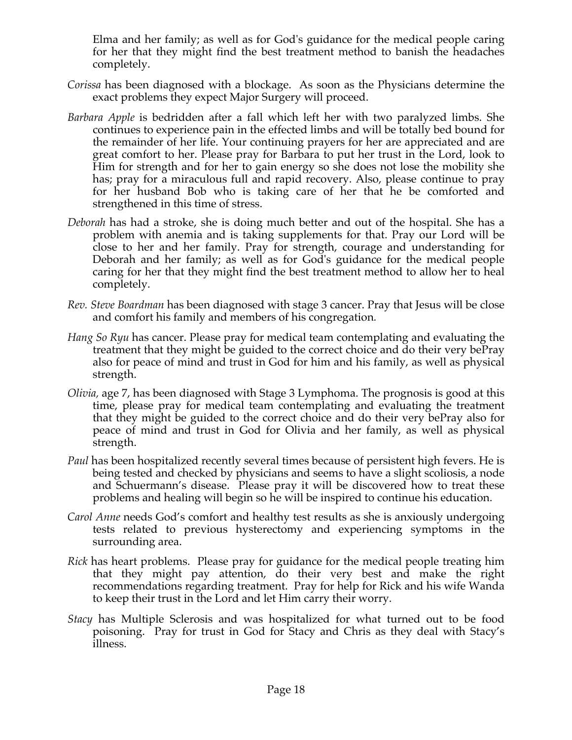Elma and her family; as well as for God's guidance for the medical people caring for her that they might find the best treatment method to banish the headaches completely.

- *Corissa* has been diagnosed with a blockage. As soon as the Physicians determine the exact problems they expect Major Surgery will proceed.
- *Barbara Apple* is bedridden after a fall which left her with two paralyzed limbs. She continues to experience pain in the effected limbs and will be totally bed bound for the remainder of her life. Your continuing prayers for her are appreciated and are great comfort to her. Please pray for Barbara to put her trust in the Lord, look to Him for strength and for her to gain energy so she does not lose the mobility she has; pray for a miraculous full and rapid recovery. Also, please continue to pray for her husband Bob who is taking care of her that he be comforted and strengthened in this time of stress.
- *Deborah* has had a stroke, she is doing much better and out of the hospital. She has a problem with anemia and is taking supplements for that. Pray our Lord will be close to her and her family. Pray for strength, courage and understanding for Deborah and her family; as well as for God's guidance for the medical people caring for her that they might find the best treatment method to allow her to heal completely.
- *Rev. Steve Boardman* has been diagnosed with stage 3 cancer. Pray that Jesus will be close and comfort his family and members of his congregation*.*
- *Hang So Ryu* has cancer. Please pray for medical team contemplating and evaluating the treatment that they might be guided to the correct choice and do their very bePray also for peace of mind and trust in God for him and his family, as well as physical strength.
- *Olivia,* age 7, has been diagnosed with Stage 3 Lymphoma. The prognosis is good at this time, please pray for medical team contemplating and evaluating the treatment that they might be guided to the correct choice and do their very bePray also for peace of mind and trust in God for Olivia and her family, as well as physical strength.
- *Paul* has been hospitalized recently several times because of persistent high fevers. He is being tested and checked by physicians and seems to have a slight scoliosis, a node and Schuermann's disease. Please pray it will be discovered how to treat these problems and healing will begin so he will be inspired to continue his education.
- *Carol Anne* needs God's comfort and healthy test results as she is anxiously undergoing tests related to previous hysterectomy and experiencing symptoms in the surrounding area.
- *Rick* has heart problems. Please pray for guidance for the medical people treating him that they might pay attention, do their very best and make the right recommendations regarding treatment. Pray for help for Rick and his wife Wanda to keep their trust in the Lord and let Him carry their worry.
- *Stacy* has Multiple Sclerosis and was hospitalized for what turned out to be food poisoning. Pray for trust in God for Stacy and Chris as they deal with Stacy's illness.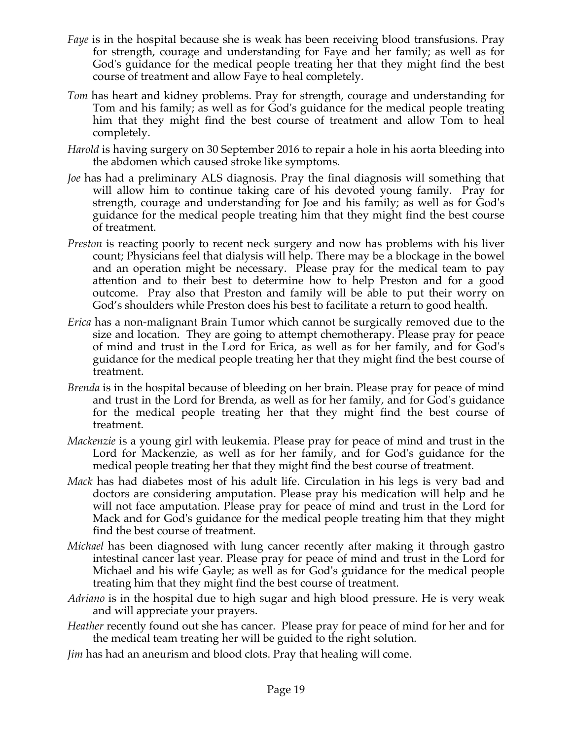- *Faye* is in the hospital because she is weak has been receiving blood transfusions. Pray for strength, courage and understanding for Faye and her family; as well as for God's guidance for the medical people treating her that they might find the best course of treatment and allow Faye to heal completely.
- *Tom* has heart and kidney problems. Pray for strength, courage and understanding for Tom and his family; as well as for God's guidance for the medical people treating him that they might find the best course of treatment and allow Tom to heal completely.
- *Harold* is having surgery on 30 September 2016 to repair a hole in his aorta bleeding into the abdomen which caused stroke like symptoms.
- *Joe* has had a preliminary ALS diagnosis. Pray the final diagnosis will something that will allow him to continue taking care of his devoted young family. Pray for strength, courage and understanding for Joe and his family; as well as for God's guidance for the medical people treating him that they might find the best course of treatment.
- *Preston* is reacting poorly to recent neck surgery and now has problems with his liver count; Physicians feel that dialysis will help. There may be a blockage in the bowel and an operation might be necessary. Please pray for the medical team to pay attention and to their best to determine how to help Preston and for a good outcome. Pray also that Preston and family will be able to put their worry on God's shoulders while Preston does his best to facilitate a return to good health.
- *Erica* has a non-malignant Brain Tumor which cannot be surgically removed due to the size and location. They are going to attempt chemotherapy. Please pray for peace of mind and trust in the Lord for Erica, as well as for her family, and for God's guidance for the medical people treating her that they might find the best course of treatment.
- *Brenda* is in the hospital because of bleeding on her brain. Please pray for peace of mind and trust in the Lord for Brenda, as well as for her family, and for God's guidance for the medical people treating her that they might find the best course of treatment.
- *Mackenzie* is a young girl with leukemia. Please pray for peace of mind and trust in the Lord for Mackenzie, as well as for her family, and for God's guidance for the medical people treating her that they might find the best course of treatment.
- *Mack* has had diabetes most of his adult life. Circulation in his legs is very bad and doctors are considering amputation. Please pray his medication will help and he will not face amputation. Please pray for peace of mind and trust in the Lord for Mack and for God's guidance for the medical people treating him that they might find the best course of treatment.
- *Michael* has been diagnosed with lung cancer recently after making it through gastro intestinal cancer last year. Please pray for peace of mind and trust in the Lord for Michael and his wife Gayle; as well as for God's guidance for the medical people treating him that they might find the best course of treatment.
- *Adriano* is in the hospital due to high sugar and high blood pressure. He is very weak and will appreciate your prayers.
- *Heather* recently found out she has cancer. Please pray for peace of mind for her and for the medical team treating her will be guided to the right solution.
- *Jim* has had an aneurism and blood clots. Pray that healing will come.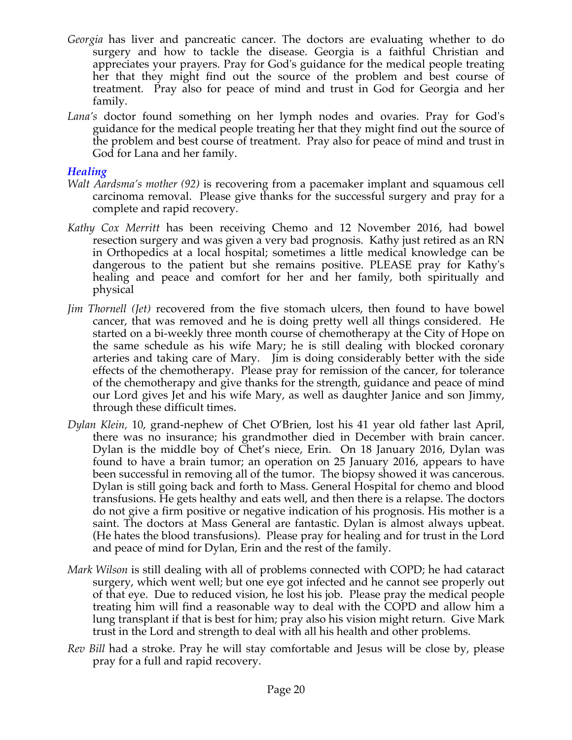- *Georgia* has liver and pancreatic cancer. The doctors are evaluating whether to do surgery and how to tackle the disease. Georgia is a faithful Christian and appreciates your prayers. Pray for God's guidance for the medical people treating her that they might find out the source of the problem and best course of treatment. Pray also for peace of mind and trust in God for Georgia and her family.
- *Lana's* doctor found something on her lymph nodes and ovaries. Pray for God's guidance for the medical people treating her that they might find out the source of the problem and best course of treatment. Pray also for peace of mind and trust in God for Lana and her family.

### *Healing*

- *Walt Aardsma's mother (92)* is recovering from a pacemaker implant and squamous cell carcinoma removal. Please give thanks for the successful surgery and pray for a complete and rapid recovery.
- *Kathy Cox Merritt* has been receiving Chemo and 12 November 2016, had bowel resection surgery and was given a very bad prognosis. Kathy just retired as an RN in Orthopedics at a local hospital; sometimes a little medical knowledge can be dangerous to the patient but she remains positive. PLEASE pray for Kathy's healing and peace and comfort for her and her family, both spiritually and physical
- *Jim Thornell (Jet)* recovered from the five stomach ulcers, then found to have bowel cancer, that was removed and he is doing pretty well all things considered. He started on a bi-weekly three month course of chemotherapy at the City of Hope on the same schedule as his wife Mary; he is still dealing with blocked coronary arteries and taking care of Mary. Jim is doing considerably better with the side effects of the chemotherapy. Please pray for remission of the cancer, for tolerance of the chemotherapy and give thanks for the strength, guidance and peace of mind our Lord gives Jet and his wife Mary, as well as daughter Janice and son Jimmy, through these difficult times.
- *Dylan Klein,* 10, grand-nephew of Chet O'Brien, lost his 41 year old father last April, there was no insurance; his grandmother died in December with brain cancer. Dylan is the middle boy of Chet's niece, Erin. On 18 January 2016, Dylan was found to have a brain tumor; an operation on 25 January 2016, appears to have been successful in removing all of the tumor. The biopsy showed it was cancerous. Dylan is still going back and forth to Mass. General Hospital for chemo and blood transfusions. He gets healthy and eats well, and then there is a relapse. The doctors do not give a firm positive or negative indication of his prognosis. His mother is a saint. The doctors at Mass General are fantastic. Dylan is almost always upbeat. (He hates the blood transfusions). Please pray for healing and for trust in the Lord and peace of mind for Dylan, Erin and the rest of the family.
- *Mark Wilson* is still dealing with all of problems connected with COPD; he had cataract surgery, which went well; but one eye got infected and he cannot see properly out of that eye. Due to reduced vision, he lost his job. Please pray the medical people treating him will find a reasonable way to deal with the COPD and allow him a lung transplant if that is best for him; pray also his vision might return. Give Mark trust in the Lord and strength to deal with all his health and other problems.
- *Rev Bill* had a stroke. Pray he will stay comfortable and Jesus will be close by, please pray for a full and rapid recovery.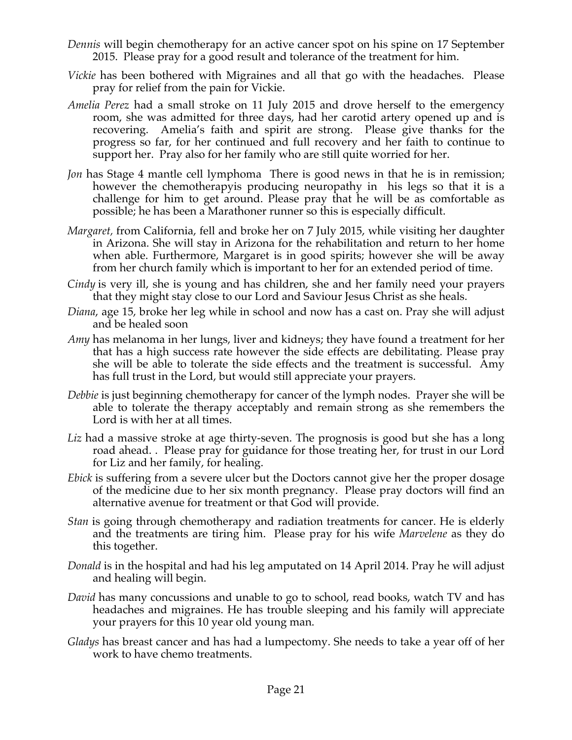- *Dennis* will begin chemotherapy for an active cancer spot on his spine on 17 September 2015. Please pray for a good result and tolerance of the treatment for him.
- *Vickie* has been bothered with Migraines and all that go with the headaches. Please pray for relief from the pain for Vickie.
- *Amelia Perez* had a small stroke on 11 July 2015 and drove herself to the emergency room, she was admitted for three days, had her carotid artery opened up and is recovering. Amelia's faith and spirit are strong. Please give thanks for the progress so far, for her continued and full recovery and her faith to continue to support her. Pray also for her family who are still quite worried for her.
- *Jon* has Stage 4 mantle cell lymphoma There is good news in that he is in remission; however the chemotherapyis producing neuropathy in his legs so that it is a challenge for him to get around. Please pray that he will be as comfortable as possible; he has been a Marathoner runner so this is especially difficult.
- *Margaret,* from California, fell and broke her on 7 July 2015, while visiting her daughter in Arizona. She will stay in Arizona for the rehabilitation and return to her home when able. Furthermore, Margaret is in good spirits; however she will be away from her church family which is important to her for an extended period of time.
- *Cindy* is very ill, she is young and has children, she and her family need your prayers that they might stay close to our Lord and Saviour Jesus Christ as she heals.
- *Diana*, age 15, broke her leg while in school and now has a cast on. Pray she will adjust and be healed soon
- *Amy* has melanoma in her lungs, liver and kidneys; they have found a treatment for her that has a high success rate however the side effects are debilitating. Please pray she will be able to tolerate the side effects and the treatment is successful. Amy has full trust in the Lord, but would still appreciate your prayers.
- *Debbie* is just beginning chemotherapy for cancer of the lymph nodes. Prayer she will be able to tolerate the therapy acceptably and remain strong as she remembers the Lord is with her at all times.
- Liz had a massive stroke at age thirty-seven. The prognosis is good but she has a long road ahead. . Please pray for guidance for those treating her, for trust in our Lord for Liz and her family, for healing.
- *Ebick* is suffering from a severe ulcer but the Doctors cannot give her the proper dosage of the medicine due to her six month pregnancy. Please pray doctors will find an alternative avenue for treatment or that God will provide.
- *Stan* is going through chemotherapy and radiation treatments for cancer. He is elderly and the treatments are tiring him. Please pray for his wife *Marvelene* as they do this together.
- *Donald* is in the hospital and had his leg amputated on 14 April 2014. Pray he will adjust and healing will begin.
- *David* has many concussions and unable to go to school, read books, watch TV and has headaches and migraines. He has trouble sleeping and his family will appreciate your prayers for this 10 year old young man.
- *Gladys* has breast cancer and has had a lumpectomy. She needs to take a year off of her work to have chemo treatments.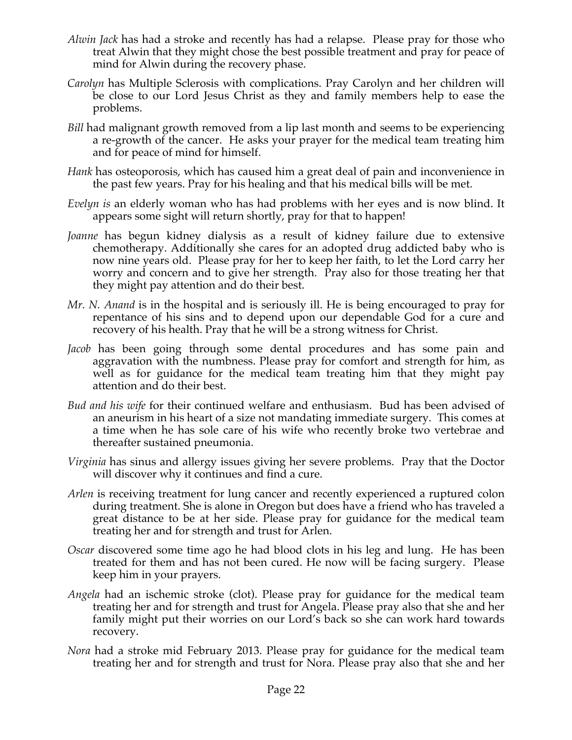- *Alwin Jack* has had a stroke and recently has had a relapse. Please pray for those who treat Alwin that they might chose the best possible treatment and pray for peace of mind for Alwin during the recovery phase.
- *Carolyn* has Multiple Sclerosis with complications. Pray Carolyn and her children will be close to our Lord Jesus Christ as they and family members help to ease the problems.
- *Bill* had malignant growth removed from a lip last month and seems to be experiencing a re-growth of the cancer. He asks your prayer for the medical team treating him and for peace of mind for himself.
- *Hank* has osteoporosis, which has caused him a great deal of pain and inconvenience in the past few years. Pray for his healing and that his medical bills will be met.
- *Evelyn is* an elderly woman who has had problems with her eyes and is now blind. It appears some sight will return shortly, pray for that to happen!
- *Joanne* has begun kidney dialysis as a result of kidney failure due to extensive chemotherapy. Additionally she cares for an adopted drug addicted baby who is now nine years old. Please pray for her to keep her faith, to let the Lord carry her worry and concern and to give her strength. Pray also for those treating her that they might pay attention and do their best.
- *Mr. N. Anand* is in the hospital and is seriously ill. He is being encouraged to pray for repentance of his sins and to depend upon our dependable God for a cure and recovery of his health. Pray that he will be a strong witness for Christ.
- *Jacob* has been going through some dental procedures and has some pain and aggravation with the numbness. Please pray for comfort and strength for him, as well as for guidance for the medical team treating him that they might pay attention and do their best.
- *Bud and his wife* for their continued welfare and enthusiasm. Bud has been advised of an aneurism in his heart of a size not mandating immediate surgery. This comes at a time when he has sole care of his wife who recently broke two vertebrae and thereafter sustained pneumonia.
- *Virginia* has sinus and allergy issues giving her severe problems. Pray that the Doctor will discover why it continues and find a cure.
- *Arlen* is receiving treatment for lung cancer and recently experienced a ruptured colon during treatment. She is alone in Oregon but does have a friend who has traveled a great distance to be at her side. Please pray for guidance for the medical team treating her and for strength and trust for Arlen.
- *Oscar* discovered some time ago he had blood clots in his leg and lung. He has been treated for them and has not been cured. He now will be facing surgery. Please keep him in your prayers.
- *Angela* had an ischemic stroke (clot). Please pray for guidance for the medical team treating her and for strength and trust for Angela. Please pray also that she and her family might put their worries on our Lord's back so she can work hard towards recovery.
- *Nora* had a stroke mid February 2013. Please pray for guidance for the medical team treating her and for strength and trust for Nora. Please pray also that she and her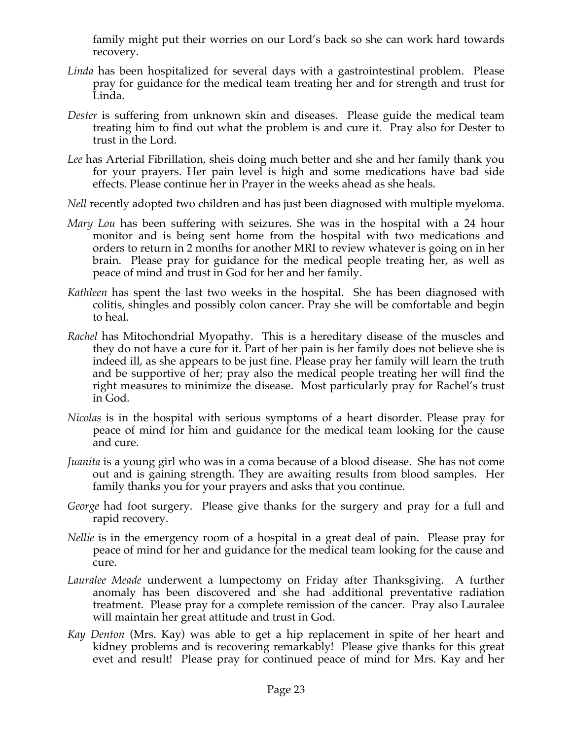family might put their worries on our Lord's back so she can work hard towards recovery.

- *Linda* has been hospitalized for several days with a gastrointestinal problem. Please pray for guidance for the medical team treating her and for strength and trust for Linda.
- *Dester* is suffering from unknown skin and diseases. Please guide the medical team treating him to find out what the problem is and cure it. Pray also for Dester to trust in the Lord.
- *Lee* has Arterial Fibrillation, sheis doing much better and she and her family thank you for your prayers. Her pain level is high and some medications have bad side effects. Please continue her in Prayer in the weeks ahead as she heals.
- *Nell* recently adopted two children and has just been diagnosed with multiple myeloma.
- *Mary Lou* has been suffering with seizures. She was in the hospital with a 24 hour monitor and is being sent home from the hospital with two medications and orders to return in 2 months for another MRI to review whatever is going on in her brain. Please pray for guidance for the medical people treating her, as well as peace of mind and trust in God for her and her family.
- *Kathleen* has spent the last two weeks in the hospital. She has been diagnosed with colitis, shingles and possibly colon cancer. Pray she will be comfortable and begin to heal.
- *Rachel* has Mitochondrial Myopathy. This is a hereditary disease of the muscles and they do not have a cure for it. Part of her pain is her family does not believe she is indeed ill, as she appears to be just fine. Please pray her family will learn the truth and be supportive of her; pray also the medical people treating her will find the right measures to minimize the disease. Most particularly pray for Rachel's trust in God.
- *Nicolas* is in the hospital with serious symptoms of a heart disorder. Please pray for peace of mind for him and guidance for the medical team looking for the cause and cure.
- *Juanita* is a young girl who was in a coma because of a blood disease. She has not come out and is gaining strength. They are awaiting results from blood samples. Her family thanks you for your prayers and asks that you continue.
- *George* had foot surgery. Please give thanks for the surgery and pray for a full and rapid recovery.
- *Nellie* is in the emergency room of a hospital in a great deal of pain. Please pray for peace of mind for her and guidance for the medical team looking for the cause and cure.
- *Lauralee Meade* underwent a lumpectomy on Friday after Thanksgiving. A further anomaly has been discovered and she had additional preventative radiation treatment. Please pray for a complete remission of the cancer. Pray also Lauralee will maintain her great attitude and trust in God.
- *Kay Denton* (Mrs. Kay) was able to get a hip replacement in spite of her heart and kidney problems and is recovering remarkably! Please give thanks for this great evet and result! Please pray for continued peace of mind for Mrs. Kay and her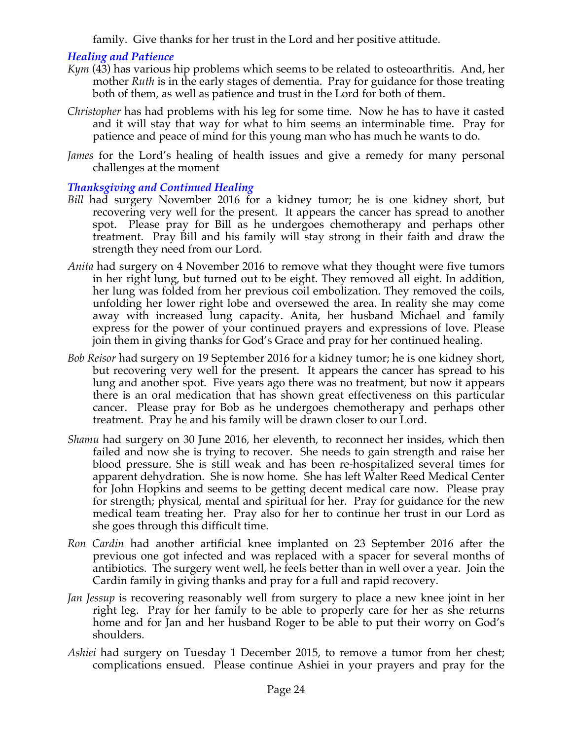family. Give thanks for her trust in the Lord and her positive attitude.

### *Healing and Patience*

- *Kym* (43) has various hip problems which seems to be related to osteoarthritis. And, her mother *Ruth* is in the early stages of dementia. Pray for guidance for those treating both of them, as well as patience and trust in the Lord for both of them.
- *Christopher* has had problems with his leg for some time. Now he has to have it casted and it will stay that way for what to him seems an interminable time. Pray for patience and peace of mind for this young man who has much he wants to do.
- *James* for the Lord's healing of health issues and give a remedy for many personal challenges at the moment

### *Thanksgiving and Continued Healing*

- *Bill* had surgery November 2016 for a kidney tumor; he is one kidney short, but recovering very well for the present. It appears the cancer has spread to another spot. Please pray for Bill as he undergoes chemotherapy and perhaps other treatment. Pray Bill and his family will stay strong in their faith and draw the strength they need from our Lord.
- *Anita* had surgery on 4 November 2016 to remove what they thought were five tumors in her right lung, but turned out to be eight. They removed all eight. In addition, her lung was folded from her previous coil embolization. They removed the coils, unfolding her lower right lobe and oversewed the area. In reality she may come away with increased lung capacity. Anita, her husband Michael and family express for the power of your continued prayers and expressions of love. Please join them in giving thanks for God's Grace and pray for her continued healing.
- *Bob Reisor* had surgery on 19 September 2016 for a kidney tumor; he is one kidney short, but recovering very well for the present. It appears the cancer has spread to his lung and another spot. Five years ago there was no treatment, but now it appears there is an oral medication that has shown great effectiveness on this particular cancer. Please pray for Bob as he undergoes chemotherapy and perhaps other treatment. Pray he and his family will be drawn closer to our Lord.
- *Shamu* had surgery on 30 June 2016, her eleventh, to reconnect her insides, which then failed and now she is trying to recover. She needs to gain strength and raise her blood pressure. She is still weak and has been re-hospitalized several times for apparent dehydration. She is now home. She has left Walter Reed Medical Center for John Hopkins and seems to be getting decent medical care now. Please pray for strength; physical, mental and spiritual for her. Pray for guidance for the new medical team treating her. Pray also for her to continue her trust in our Lord as she goes through this difficult time.
- *Ron Cardin* had another artificial knee implanted on 23 September 2016 after the previous one got infected and was replaced with a spacer for several months of antibiotics. The surgery went well, he feels better than in well over a year. Join the Cardin family in giving thanks and pray for a full and rapid recovery.
- *Jan Jessup* is recovering reasonably well from surgery to place a new knee joint in her right leg. Pray for her family to be able to properly care for her as she returns home and for Jan and her husband Roger to be able to put their worry on God's shoulders.
- *Ashiei* had surgery on Tuesday 1 December 2015, to remove a tumor from her chest; complications ensued. Please continue Ashiei in your prayers and pray for the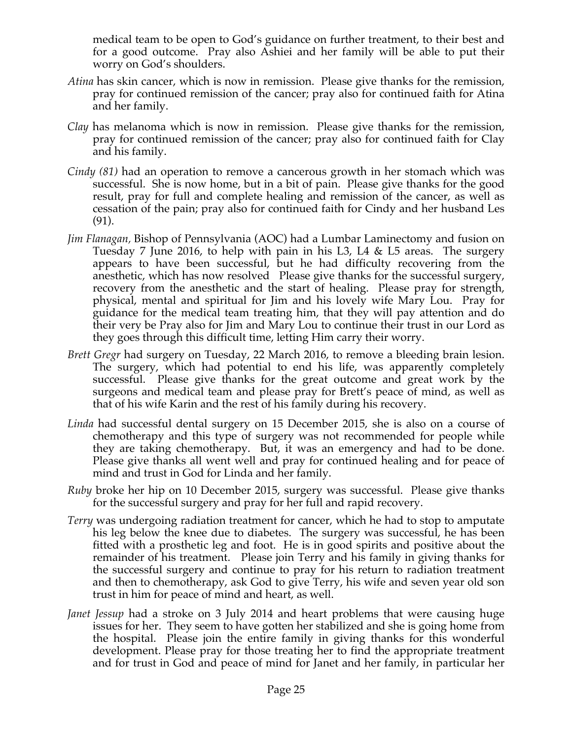medical team to be open to God's guidance on further treatment, to their best and for a good outcome. Pray also Ashiei and her family will be able to put their worry on God's shoulders.

- *Atina* has skin cancer, which is now in remission. Please give thanks for the remission, pray for continued remission of the cancer; pray also for continued faith for Atina and her family.
- *Clay* has melanoma which is now in remission. Please give thanks for the remission, pray for continued remission of the cancer; pray also for continued faith for Clay and his family.
- *Cindy (81)* had an operation to remove a cancerous growth in her stomach which was successful. She is now home, but in a bit of pain. Please give thanks for the good result, pray for full and complete healing and remission of the cancer, as well as cessation of the pain; pray also for continued faith for Cindy and her husband Les (91).
- *Jim Flanagan,* Bishop of Pennsylvania (AOC) had a Lumbar Laminectomy and fusion on Tuesday 7 June 2016, to help with pain in his L3, L4 & L5 areas. The surgery appears to have been successful, but he had difficulty recovering from the anesthetic, which has now resolved Please give thanks for the successful surgery, recovery from the anesthetic and the start of healing. Please pray for strength, physical, mental and spiritual for Jim and his lovely wife Mary Lou. Pray for guidance for the medical team treating him, that they will pay attention and do their very be Pray also for Jim and Mary Lou to continue their trust in our Lord as they goes through this difficult time, letting Him carry their worry.
- *Brett Gregr* had surgery on Tuesday, 22 March 2016, to remove a bleeding brain lesion. The surgery, which had potential to end his life, was apparently completely successful. Please give thanks for the great outcome and great work by the surgeons and medical team and please pray for Brett's peace of mind, as well as that of his wife Karin and the rest of his family during his recovery.
- *Linda* had successful dental surgery on 15 December 2015, she is also on a course of chemotherapy and this type of surgery was not recommended for people while they are taking chemotherapy. But, it was an emergency and had to be done. Please give thanks all went well and pray for continued healing and for peace of mind and trust in God for Linda and her family.
- *Ruby* broke her hip on 10 December 2015, surgery was successful. Please give thanks for the successful surgery and pray for her full and rapid recovery.
- *Terry* was undergoing radiation treatment for cancer, which he had to stop to amputate his leg below the knee due to diabetes. The surgery was successful, he has been fitted with a prosthetic leg and foot. He is in good spirits and positive about the remainder of his treatment. Please join Terry and his family in giving thanks for the successful surgery and continue to pray for his return to radiation treatment and then to chemotherapy, ask God to give Terry, his wife and seven year old son trust in him for peace of mind and heart, as well.
- *Janet Jessup* had a stroke on 3 July 2014 and heart problems that were causing huge issues for her. They seem to have gotten her stabilized and she is going home from the hospital. Please join the entire family in giving thanks for this wonderful development. Please pray for those treating her to find the appropriate treatment and for trust in God and peace of mind for Janet and her family, in particular her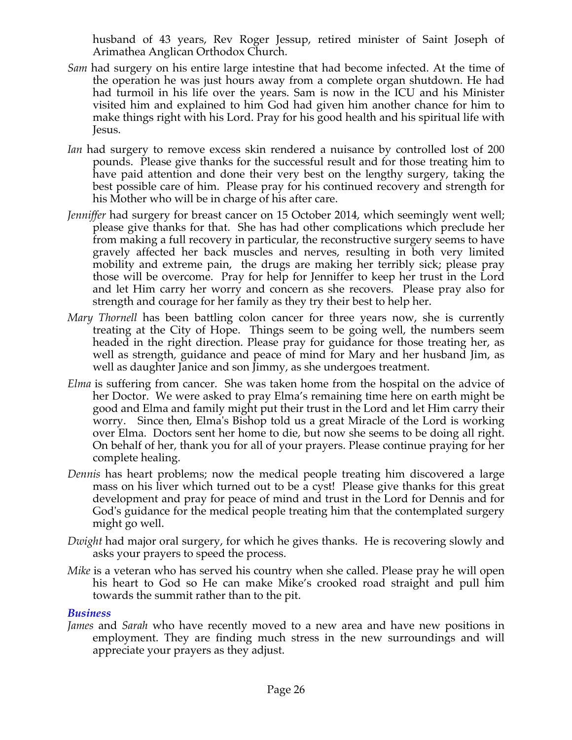husband of 43 years, Rev Roger Jessup, retired minister of Saint Joseph of Arimathea Anglican Orthodox Church.

- *Sam* had surgery on his entire large intestine that had become infected. At the time of the operation he was just hours away from a complete organ shutdown. He had had turmoil in his life over the years. Sam is now in the ICU and his Minister visited him and explained to him God had given him another chance for him to make things right with his Lord. Pray for his good health and his spiritual life with Jesus.
- *Ian* had surgery to remove excess skin rendered a nuisance by controlled lost of 200 pounds. Please give thanks for the successful result and for those treating him to have paid attention and done their very best on the lengthy surgery, taking the best possible care of him. Please pray for his continued recovery and strength for his Mother who will be in charge of his after care.
- *Jenniffer* had surgery for breast cancer on 15 October 2014, which seemingly went well; please give thanks for that. She has had other complications which preclude her from making a full recovery in particular, the reconstructive surgery seems to have gravely affected her back muscles and nerves, resulting in both very limited mobility and extreme pain, the drugs are making her terribly sick; please pray those will be overcome. Pray for help for Jenniffer to keep her trust in the Lord and let Him carry her worry and concern as she recovers. Please pray also for strength and courage for her family as they try their best to help her.
- *Mary Thornell* has been battling colon cancer for three years now, she is currently treating at the City of Hope. Things seem to be going well, the numbers seem headed in the right direction. Please pray for guidance for those treating her, as well as strength, guidance and peace of mind for Mary and her husband Jim, as well as daughter Janice and son Jimmy, as she undergoes treatment.
- *Elma* is suffering from cancer. She was taken home from the hospital on the advice of her Doctor. We were asked to pray Elma's remaining time here on earth might be good and Elma and family might put their trust in the Lord and let Him carry their worry. Since then, Elma's Bishop told us a great Miracle of the Lord is working over Elma. Doctors sent her home to die, but now she seems to be doing all right. On behalf of her, thank you for all of your prayers. Please continue praying for her complete healing.
- *Dennis* has heart problems; now the medical people treating him discovered a large mass on his liver which turned out to be a cyst! Please give thanks for this great development and pray for peace of mind and trust in the Lord for Dennis and for God's guidance for the medical people treating him that the contemplated surgery might go well.
- *Dwight* had major oral surgery, for which he gives thanks. He is recovering slowly and asks your prayers to speed the process.
- *Mike* is a veteran who has served his country when she called. Please pray he will open his heart to God so He can make Mike's crooked road straight and pull him towards the summit rather than to the pit.

#### *Business*

*James* and *Sarah* who have recently moved to a new area and have new positions in employment. They are finding much stress in the new surroundings and will appreciate your prayers as they adjust.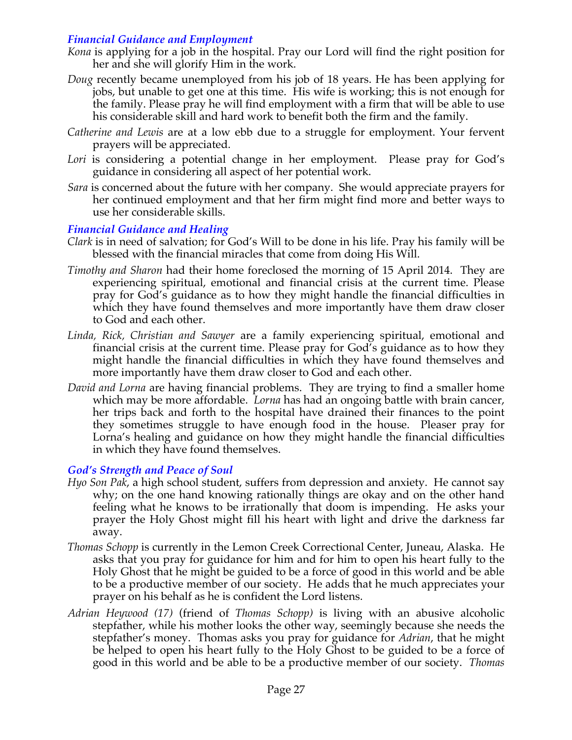### *Financial Guidance and Employment*

- *Kona* is applying for a job in the hospital. Pray our Lord will find the right position for her and she will glorify Him in the work.
- *Doug* recently became unemployed from his job of 18 years. He has been applying for jobs, but unable to get one at this time. His wife is working; this is not enough for the family. Please pray he will find employment with a firm that will be able to use his considerable skill and hard work to benefit both the firm and the family.
- *Catherine and Lewis* are at a low ebb due to a struggle for employment. Your fervent prayers will be appreciated.
- *Lori* is considering a potential change in her employment. Please pray for God's guidance in considering all aspect of her potential work.
- *Sara* is concerned about the future with her company. She would appreciate prayers for her continued employment and that her firm might find more and better ways to use her considerable skills.

### *Financial Guidance and Healing*

- *Clark* is in need of salvation; for God's Will to be done in his life. Pray his family will be blessed with the financial miracles that come from doing His Will.
- *Timothy and Sharon* had their home foreclosed the morning of 15 April 2014. They are experiencing spiritual, emotional and financial crisis at the current time. Please pray for God's guidance as to how they might handle the financial difficulties in which they have found themselves and more importantly have them draw closer to God and each other.
- *Linda, Rick, Christian and Sawyer* are a family experiencing spiritual, emotional and financial crisis at the current time. Please pray for God's guidance as to how they might handle the financial difficulties in which they have found themselves and more importantly have them draw closer to God and each other.
- *David and Lorna* are having financial problems. They are trying to find a smaller home which may be more affordable. *Lorna* has had an ongoing battle with brain cancer, her trips back and forth to the hospital have drained their finances to the point they sometimes struggle to have enough food in the house. Pleaser pray for Lorna's healing and guidance on how they might handle the financial difficulties in which they have found themselves.

#### *God's Strength and Peace of Soul*

- *Hyo Son Pak*, a high school student, suffers from depression and anxiety. He cannot say why; on the one hand knowing rationally things are okay and on the other hand feeling what he knows to be irrationally that doom is impending. He asks your prayer the Holy Ghost might fill his heart with light and drive the darkness far away.
- *Thomas Schopp* is currently in the Lemon Creek Correctional Center, Juneau, Alaska. He asks that you pray for guidance for him and for him to open his heart fully to the Holy Ghost that he might be guided to be a force of good in this world and be able to be a productive member of our society. He adds that he much appreciates your prayer on his behalf as he is confident the Lord listens.
- *Adrian Heywood (17)* (friend of *Thomas Schopp)* is living with an abusive alcoholic stepfather, while his mother looks the other way, seemingly because she needs the stepfather's money. Thomas asks you pray for guidance for *Adrian*, that he might be helped to open his heart fully to the Holy Ghost to be guided to be a force of good in this world and be able to be a productive member of our society. *Thomas*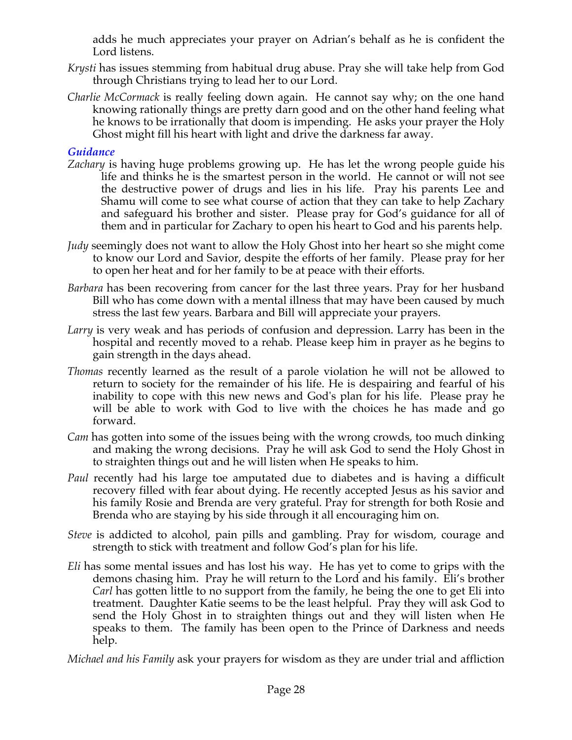adds he much appreciates your prayer on Adrian's behalf as he is confident the Lord listens.

- *Krysti* has issues stemming from habitual drug abuse. Pray she will take help from God through Christians trying to lead her to our Lord.
- *Charlie McCormack* is really feeling down again. He cannot say why; on the one hand knowing rationally things are pretty darn good and on the other hand feeling what he knows to be irrationally that doom is impending. He asks your prayer the Holy Ghost might fill his heart with light and drive the darkness far away.

# *Guidance*

- *Zachary* is having huge problems growing up. He has let the wrong people guide his life and thinks he is the smartest person in the world. He cannot or will not see the destructive power of drugs and lies in his life. Pray his parents Lee and Shamu will come to see what course of action that they can take to help Zachary and safeguard his brother and sister. Please pray for God's guidance for all of them and in particular for Zachary to open his heart to God and his parents help.
- *Judy* seemingly does not want to allow the Holy Ghost into her heart so she might come to know our Lord and Savior, despite the efforts of her family. Please pray for her to open her heat and for her family to be at peace with their efforts.
- *Barbara* has been recovering from cancer for the last three years. Pray for her husband Bill who has come down with a mental illness that may have been caused by much stress the last few years. Barbara and Bill will appreciate your prayers.
- *Larry* is very weak and has periods of confusion and depression. Larry has been in the hospital and recently moved to a rehab. Please keep him in prayer as he begins to gain strength in the days ahead.
- *Thomas* recently learned as the result of a parole violation he will not be allowed to return to society for the remainder of his life. He is despairing and fearful of his inability to cope with this new news and God's plan for his life. Please pray he will be able to work with God to live with the choices he has made and go forward.
- *Cam* has gotten into some of the issues being with the wrong crowds, too much dinking and making the wrong decisions. Pray he will ask God to send the Holy Ghost in to straighten things out and he will listen when He speaks to him.
- *Paul* recently had his large toe amputated due to diabetes and is having a difficult recovery filled with fear about dying. He recently accepted Jesus as his savior and his family Rosie and Brenda are very grateful. Pray for strength for both Rosie and Brenda who are staying by his side through it all encouraging him on.
- *Steve* is addicted to alcohol, pain pills and gambling. Pray for wisdom, courage and strength to stick with treatment and follow God's plan for his life.
- *Eli* has some mental issues and has lost his way. He has yet to come to grips with the demons chasing him. Pray he will return to the Lord and his family. Eli's brother *Carl* has gotten little to no support from the family, he being the one to get Eli into treatment. Daughter Katie seems to be the least helpful. Pray they will ask God to send the Holy Ghost in to straighten things out and they will listen when He speaks to them. The family has been open to the Prince of Darkness and needs help.

*Michael and his Family* ask your prayers for wisdom as they are under trial and affliction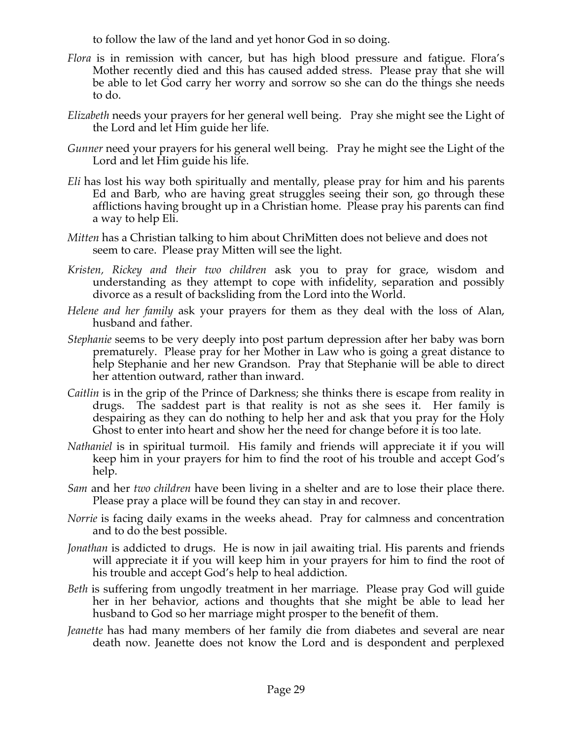to follow the law of the land and yet honor God in so doing.

- *Flora* is in remission with cancer, but has high blood pressure and fatigue. Flora's Mother recently died and this has caused added stress. Please pray that she will be able to let God carry her worry and sorrow so she can do the things she needs to do.
- *Elizabeth* needs your prayers for her general well being. Pray she might see the Light of the Lord and let Him guide her life.
- *Gunner* need your prayers for his general well being. Pray he might see the Light of the Lord and let Him guide his life.
- *Eli* has lost his way both spiritually and mentally, please pray for him and his parents Ed and Barb, who are having great struggles seeing their son, go through these afflictions having brought up in a Christian home. Please pray his parents can find a way to help Eli.
- *Mitten* has a Christian talking to him about ChriMitten does not believe and does not seem to care. Please pray Mitten will see the light.
- *Kristen, Rickey and their two children* ask you to pray for grace, wisdom and understanding as they attempt to cope with infidelity, separation and possibly divorce as a result of backsliding from the Lord into the World.
- *Helene and her family* ask your prayers for them as they deal with the loss of Alan, husband and father.
- *Stephanie* seems to be very deeply into post partum depression after her baby was born prematurely. Please pray for her Mother in Law who is going a great distance to help Stephanie and her new Grandson. Pray that Stephanie will be able to direct her attention outward, rather than inward.
- *Caitlin* is in the grip of the Prince of Darkness; she thinks there is escape from reality in drugs. The saddest part is that reality is not as she sees it. Her family is despairing as they can do nothing to help her and ask that you pray for the Holy Ghost to enter into heart and show her the need for change before it is too late.
- *Nathaniel* is in spiritual turmoil. His family and friends will appreciate it if you will keep him in your prayers for him to find the root of his trouble and accept God's help.
- *Sam* and her *two children* have been living in a shelter and are to lose their place there. Please pray a place will be found they can stay in and recover.
- *Norrie* is facing daily exams in the weeks ahead. Pray for calmness and concentration and to do the best possible.
- *Jonathan* is addicted to drugs. He is now in jail awaiting trial. His parents and friends will appreciate it if you will keep him in your prayers for him to find the root of his trouble and accept God's help to heal addiction.
- *Beth* is suffering from ungodly treatment in her marriage. Please pray God will guide her in her behavior, actions and thoughts that she might be able to lead her husband to God so her marriage might prosper to the benefit of them.
- *Jeanette* has had many members of her family die from diabetes and several are near death now. Jeanette does not know the Lord and is despondent and perplexed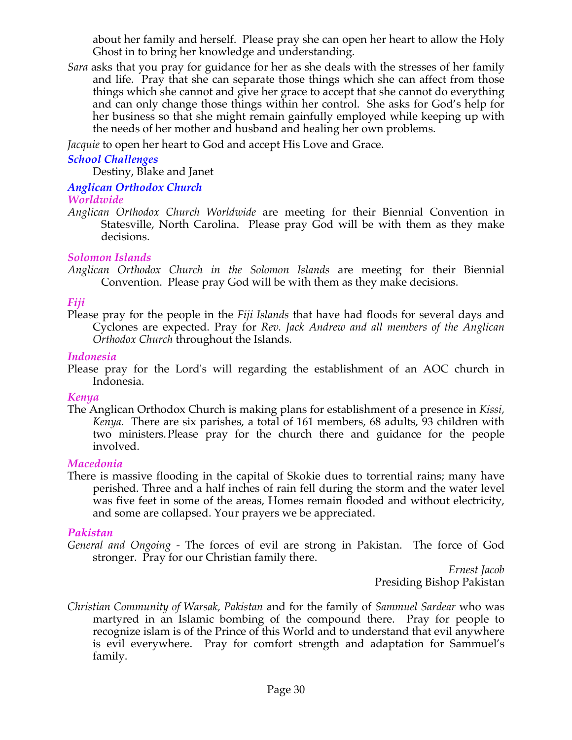about her family and herself. Please pray she can open her heart to allow the Holy Ghost in to bring her knowledge and understanding.

*Sara* asks that you pray for guidance for her as she deals with the stresses of her family and life. Pray that she can separate those things which she can affect from those things which she cannot and give her grace to accept that she cannot do everything and can only change those things within her control. She asks for God's help for her business so that she might remain gainfully employed while keeping up with the needs of her mother and husband and healing her own problems.

*Jacquie* to open her heart to God and accept His Love and Grace.

# *School Challenges*

Destiny, Blake and Janet

# *Anglican Orthodox Church*

# *Worldwide*

*Anglican Orthodox Church Worldwide* are meeting for their Biennial Convention in Statesville, North Carolina. Please pray God will be with them as they make decisions.

# *Solomon Islands*

*Anglican Orthodox Church in the Solomon Islands* are meeting for their Biennial Convention. Please pray God will be with them as they make decisions.

# *Fiji*

Please pray for the people in the *Fiji Islands* that have had floods for several days and Cyclones are expected. Pray for *Rev. Jack Andrew and all members of the Anglican Orthodox Church* throughout the Islands.

### *Indonesia*

Please pray for the Lord's will regarding the establishment of an AOC church in Indonesia.

# *Kenya*

The Anglican Orthodox Church is making plans for establishment of a presence in *Kissi, Kenya.* There are six parishes, a total of 161 members, 68 adults, 93 children with two ministers. Please pray for the church there and guidance for the people involved.

# *Macedonia*

There is massive flooding in the capital of Skokie dues to torrential rains; many have perished. Three and a half inches of rain fell during the storm and the water level was five feet in some of the areas, Homes remain flooded and without electricity, and some are collapsed. Your prayers we be appreciated.

# *Pakistan*

*General and Ongoing -* The forces of evil are strong in Pakistan. The force of God stronger. Pray for our Christian family there.

*Ernest Jacob* Presiding Bishop Pakistan

*Christian Community of Warsak, Pakistan* and for the family of *Sammuel Sardear* who was martyred in an Islamic bombing of the compound there. Pray for people to recognize islam is of the Prince of this World and to understand that evil anywhere is evil everywhere. Pray for comfort strength and adaptation for Sammuel's family.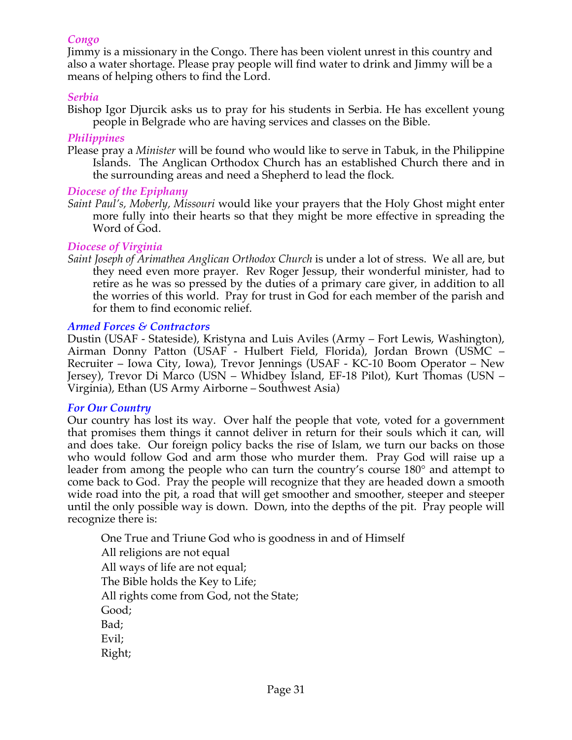### *Congo*

Jimmy is a missionary in the Congo. There has been violent unrest in this country and also a water shortage. Please pray people will find water to drink and Jimmy will be a means of helping others to find the Lord.

#### *Serbia*

Bishop Igor Djurcik asks us to pray for his students in Serbia. He has excellent young people in Belgrade who are having services and classes on the Bible.

#### *Philippines*

Please pray a *Minister* will be found who would like to serve in Tabuk, in the Philippine Islands. The Anglican Orthodox Church has an established Church there and in the surrounding areas and need a Shepherd to lead the flock*.*

#### *Diocese of the Epiphany*

*Saint Paul's, Moberly, Missouri* would like your prayers that the Holy Ghost might enter more fully into their hearts so that they might be more effective in spreading the Word of God.

#### *Diocese of Virginia*

*Saint Joseph of Arimathea Anglican Orthodox Church* is under a lot of stress. We all are, but they need even more prayer. Rev Roger Jessup, their wonderful minister, had to retire as he was so pressed by the duties of a primary care giver, in addition to all the worries of this world. Pray for trust in God for each member of the parish and for them to find economic relief.

#### *Armed Forces & Contractors*

Dustin (USAF - Stateside), Kristyna and Luis Aviles (Army – Fort Lewis, Washington), Airman Donny Patton (USAF - Hulbert Field, Florida), Jordan Brown (USMC – Recruiter – Iowa City, Iowa), Trevor Jennings (USAF - KC-10 Boom Operator – New Jersey), Trevor Di Marco (USN – Whidbey Island, EF-18 Pilot), Kurt Thomas (USN – Virginia), Ethan (US Army Airborne – Southwest Asia)

#### *For Our Country*

Our country has lost its way. Over half the people that vote, voted for a government that promises them things it cannot deliver in return for their souls which it can, will and does take. Our foreign policy backs the rise of Islam, we turn our backs on those who would follow God and arm those who murder them. Pray God will raise up a leader from among the people who can turn the country's course 180° and attempt to come back to God. Pray the people will recognize that they are headed down a smooth wide road into the pit, a road that will get smoother and smoother, steeper and steeper until the only possible way is down. Down, into the depths of the pit. Pray people will recognize there is:

 One True and Triune God who is goodness in and of Himself All religions are not equal All ways of life are not equal; The Bible holds the Key to Life; All rights come from God, not the State;

Good;

Bad;

Evil;

Right;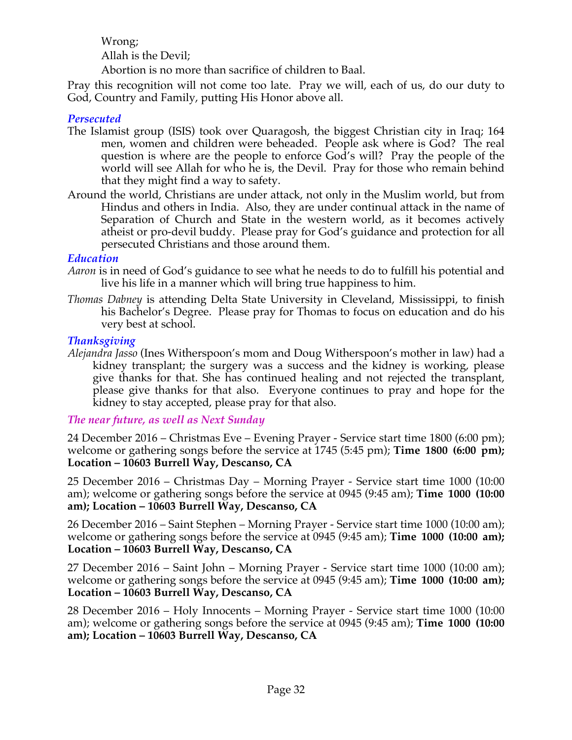Wrong; Allah is the Devil;

Abortion is no more than sacrifice of children to Baal.

Pray this recognition will not come too late. Pray we will, each of us, do our duty to God, Country and Family, putting His Honor above all.

### *Persecuted*

- The Islamist group (ISIS) took over Quaragosh, the biggest Christian city in Iraq; 164 men, women and children were beheaded. People ask where is God? The real question is where are the people to enforce God's will? Pray the people of the world will see Allah for who he is, the Devil. Pray for those who remain behind that they might find a way to safety.
- Around the world, Christians are under attack, not only in the Muslim world, but from Hindus and others in India. Also, they are under continual attack in the name of Separation of Church and State in the western world, as it becomes actively atheist or pro-devil buddy. Please pray for God's guidance and protection for all persecuted Christians and those around them.

#### *Education*

- *Aaron* is in need of God's guidance to see what he needs to do to fulfill his potential and live his life in a manner which will bring true happiness to him.
- *Thomas Dabney* is attending Delta State University in Cleveland, Mississippi, to finish his Bachelor's Degree. Please pray for Thomas to focus on education and do his very best at school.

### *Thanksgiving*

*Alejandra Jasso* (Ines Witherspoon's mom and Doug Witherspoon's mother in law) had a kidney transplant; the surgery was a success and the kidney is working, please give thanks for that. She has continued healing and not rejected the transplant, please give thanks for that also. Everyone continues to pray and hope for the kidney to stay accepted, please pray for that also.

# *The near future, as well as Next Sunday*

24 December 2016 – Christmas Eve – Evening Prayer - Service start time 1800 (6:00 pm); welcome or gathering songs before the service at 1745 (5:45 pm); **Time 1800 (6:00 pm); Location – 10603 Burrell Way, Descanso, CA**

25 December 2016 – Christmas Day – Morning Prayer - Service start time 1000 (10:00 am); welcome or gathering songs before the service at 0945 (9:45 am); **Time 1000 (10:00 am); Location – 10603 Burrell Way, Descanso, CA**

26 December 2016 – Saint Stephen – Morning Prayer - Service start time 1000 (10:00 am); welcome or gathering songs before the service at 0945 (9:45 am); **Time 1000 (10:00 am); Location – 10603 Burrell Way, Descanso, CA**

27 December 2016 – Saint John – Morning Prayer - Service start time 1000 (10:00 am); welcome or gathering songs before the service at 0945 (9:45 am); **Time 1000 (10:00 am); Location – 10603 Burrell Way, Descanso, CA**

28 December 2016 – Holy Innocents – Morning Prayer - Service start time 1000 (10:00 am); welcome or gathering songs before the service at 0945 (9:45 am); **Time 1000 (10:00 am); Location – 10603 Burrell Way, Descanso, CA**